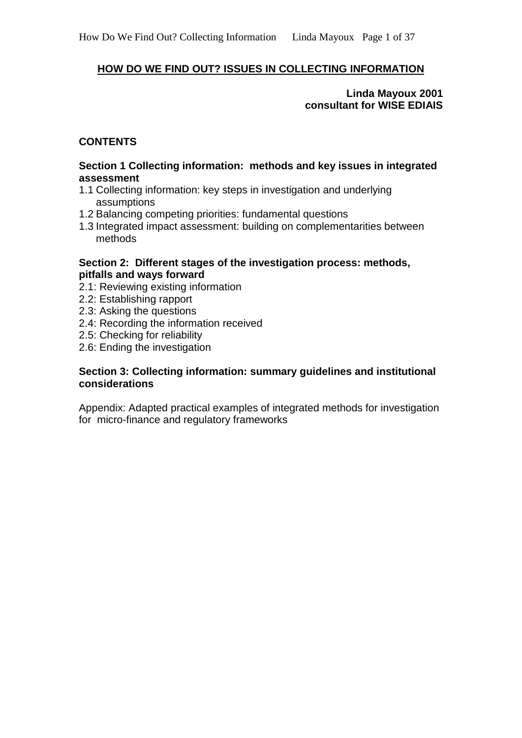# **HOW DO WE FIND OUT? ISSUES IN COLLECTING INFORMATION**

#### **Linda Mayoux 2001 consultant for WISE EDIAIS**

#### **CONTENTS**

#### **Section 1 Collecting information: methods and key issues in integrated assessment**

- 1.1 Collecting information: key steps in investigation and underlying assumptions
- 1.2 Balancing competing priorities: fundamental questions
- 1.3 Integrated impact assessment: building on complementarities between methods

#### **Section 2: Different stages of the investigation process: methods, pitfalls and ways forward**

- 2.1: Reviewing existing information
- 2.2: Establishing rapport
- 2.3: Asking the questions
- 2.4: Recording the information received
- 2.5: Checking for reliability
- 2.6: Ending the investigation

#### **Section 3: Collecting information: summary guidelines and institutional considerations**

Appendix: Adapted practical examples of integrated methods for investigation for micro-finance and regulatory frameworks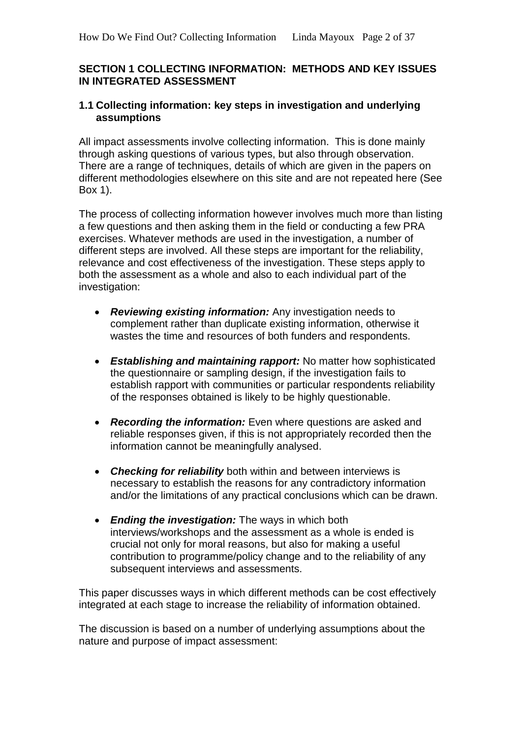#### **SECTION 1 COLLECTING INFORMATION: METHODS AND KEY ISSUES IN INTEGRATED ASSESSMENT**

#### **1.1 Collecting information: key steps in investigation and underlying assumptions**

All impact assessments involve collecting information. This is done mainly through asking questions of various types, but also through observation. There are a range of techniques, details of which are given in the papers on different methodologies elsewhere on this site and are not repeated here (See Box 1).

The process of collecting information however involves much more than listing a few questions and then asking them in the field or conducting a few PRA exercises. Whatever methods are used in the investigation, a number of different steps are involved. All these steps are important for the reliability, relevance and cost effectiveness of the investigation. These steps apply to both the assessment as a whole and also to each individual part of the investigation:

- *Reviewing existing information:* Any investigation needs to complement rather than duplicate existing information, otherwise it wastes the time and resources of both funders and respondents.
- *Establishing and maintaining rapport:* No matter how sophisticated the questionnaire or sampling design, if the investigation fails to establish rapport with communities or particular respondents reliability of the responses obtained is likely to be highly questionable.
- *Recording the information:* Even where questions are asked and reliable responses given, if this is not appropriately recorded then the information cannot be meaningfully analysed.
- *Checking for reliability* both within and between interviews is necessary to establish the reasons for any contradictory information and/or the limitations of any practical conclusions which can be drawn.
- *Ending the investigation:* The ways in which both interviews/workshops and the assessment as a whole is ended is crucial not only for moral reasons, but also for making a useful contribution to programme/policy change and to the reliability of any subsequent interviews and assessments.

This paper discusses ways in which different methods can be cost effectively integrated at each stage to increase the reliability of information obtained.

The discussion is based on a number of underlying assumptions about the nature and purpose of impact assessment: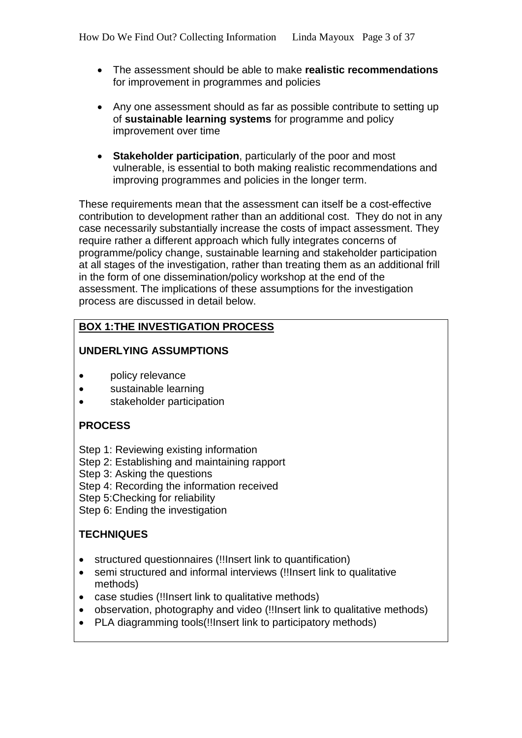- The assessment should be able to make **realistic recommendations** for improvement in programmes and policies
- Any one assessment should as far as possible contribute to setting up of **sustainable learning systems** for programme and policy improvement over time
- **Stakeholder participation**, particularly of the poor and most vulnerable, is essential to both making realistic recommendations and improving programmes and policies in the longer term.

These requirements mean that the assessment can itself be a cost-effective contribution to development rather than an additional cost. They do not in any case necessarily substantially increase the costs of impact assessment. They require rather a different approach which fully integrates concerns of programme/policy change, sustainable learning and stakeholder participation at all stages of the investigation, rather than treating them as an additional frill in the form of one dissemination/policy workshop at the end of the assessment. The implications of these assumptions for the investigation process are discussed in detail below.

# **BOX 1:THE INVESTIGATION PROCESS**

# **UNDERLYING ASSUMPTIONS**

- policy relevance
- sustainable learning
- stakeholder participation

# **PROCESS**

Step 1: Reviewing existing information

Step 2: Establishing and maintaining rapport

Step 3: Asking the questions

Step 4: Recording the information received

Step 5:Checking for reliability

Step 6: Ending the investigation

# **TECHNIQUES**

- structured questionnaires (!!Insert link to quantification)
- semi structured and informal interviews (!!Insert link to qualitative methods)
- case studies (!!Insert link to qualitative methods)
- observation, photography and video (!!Insert link to qualitative methods)
- PLA diagramming tools(!!Insert link to participatory methods)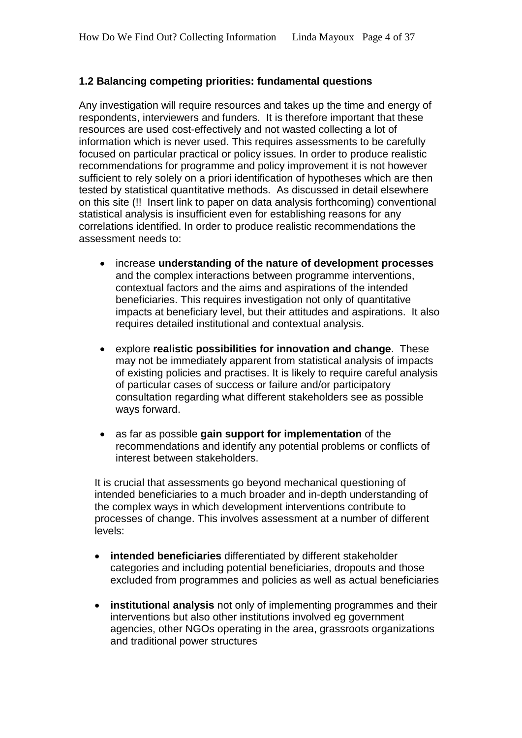# **1.2 Balancing competing priorities: fundamental questions**

Any investigation will require resources and takes up the time and energy of respondents, interviewers and funders. It is therefore important that these resources are used cost-effectively and not wasted collecting a lot of information which is never used. This requires assessments to be carefully focused on particular practical or policy issues. In order to produce realistic recommendations for programme and policy improvement it is not however sufficient to rely solely on a priori identification of hypotheses which are then tested by statistical quantitative methods. As discussed in detail elsewhere on this site (!! Insert link to paper on data analysis forthcoming) conventional statistical analysis is insufficient even for establishing reasons for any correlations identified. In order to produce realistic recommendations the assessment needs to:

- increase **understanding of the nature of development processes** and the complex interactions between programme interventions, contextual factors and the aims and aspirations of the intended beneficiaries. This requires investigation not only of quantitative impacts at beneficiary level, but their attitudes and aspirations. It also requires detailed institutional and contextual analysis.
- explore **realistic possibilities for innovation and change**. These may not be immediately apparent from statistical analysis of impacts of existing policies and practises. It is likely to require careful analysis of particular cases of success or failure and/or participatory consultation regarding what different stakeholders see as possible ways forward.
- as far as possible **gain support for implementation** of the recommendations and identify any potential problems or conflicts of interest between stakeholders.

It is crucial that assessments go beyond mechanical questioning of intended beneficiaries to a much broader and in-depth understanding of the complex ways in which development interventions contribute to processes of change. This involves assessment at a number of different levels:

- **intended beneficiaries** differentiated by different stakeholder categories and including potential beneficiaries, dropouts and those excluded from programmes and policies as well as actual beneficiaries
- **institutional analysis** not only of implementing programmes and their interventions but also other institutions involved eg government agencies, other NGOs operating in the area, grassroots organizations and traditional power structures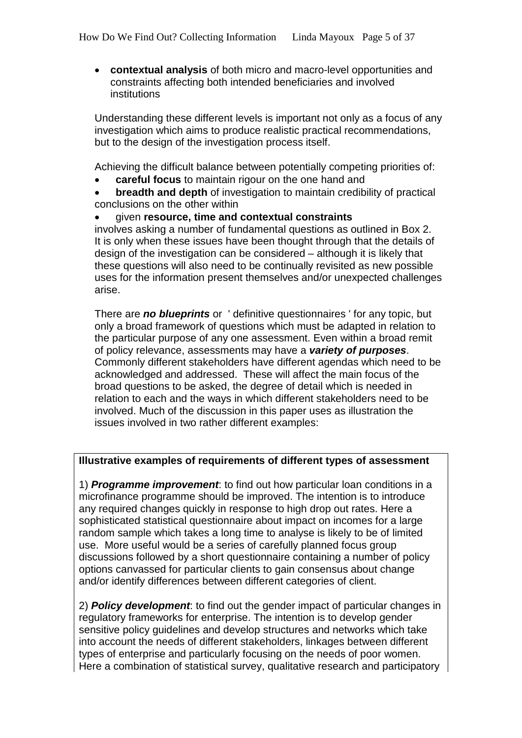• **contextual analysis** of both micro and macro-level opportunities and constraints affecting both intended beneficiaries and involved institutions

Understanding these different levels is important not only as a focus of any investigation which aims to produce realistic practical recommendations, but to the design of the investigation process itself.

Achieving the difficult balance between potentially competing priorities of:

- **careful focus** to maintain rigour on the one hand and
- **breadth and depth** of investigation to maintain credibility of practical conclusions on the other within

• given **resource, time and contextual constraints**

involves asking a number of fundamental questions as outlined in Box 2. It is only when these issues have been thought through that the details of design of the investigation can be considered – although it is likely that these questions will also need to be continually revisited as new possible uses for the information present themselves and/or unexpected challenges arise.

There are *no blueprints* or ' definitive questionnaires ' for any topic, but only a broad framework of questions which must be adapted in relation to the particular purpose of any one assessment. Even within a broad remit of policy relevance, assessments may have a *variety of purposes*. Commonly different stakeholders have different agendas which need to be acknowledged and addressed. These will affect the main focus of the broad questions to be asked, the degree of detail which is needed in relation to each and the ways in which different stakeholders need to be involved. Much of the discussion in this paper uses as illustration the issues involved in two rather different examples:

#### **Illustrative examples of requirements of different types of assessment**

1) *Programme improvement*: to find out how particular loan conditions in a microfinance programme should be improved. The intention is to introduce any required changes quickly in response to high drop out rates. Here a sophisticated statistical questionnaire about impact on incomes for a large random sample which takes a long time to analyse is likely to be of limited use. More useful would be a series of carefully planned focus group discussions followed by a short questionnaire containing a number of policy options canvassed for particular clients to gain consensus about change and/or identify differences between different categories of client.

2) *Policy development*: to find out the gender impact of particular changes in regulatory frameworks for enterprise. The intention is to develop gender sensitive policy guidelines and develop structures and networks which take into account the needs of different stakeholders, linkages between different types of enterprise and particularly focusing on the needs of poor women. Here a combination of statistical survey, qualitative research and participatory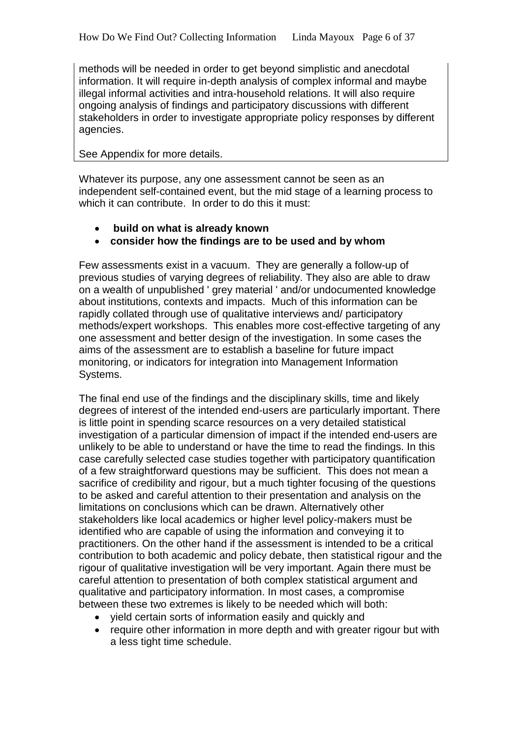methods will be needed in order to get beyond simplistic and anecdotal information. It will require in-depth analysis of complex informal and maybe illegal informal activities and intra-household relations. It will also require ongoing analysis of findings and participatory discussions with different stakeholders in order to investigate appropriate policy responses by different agencies.

#### See Appendix for more details.

Whatever its purpose, any one assessment cannot be seen as an independent self-contained event, but the mid stage of a learning process to which it can contribute. In order to do this it must:

- **build on what is already known**
- **consider how the findings are to be used and by whom**

Few assessments exist in a vacuum. They are generally a follow-up of previous studies of varying degrees of reliability. They also are able to draw on a wealth of unpublished ' grey material ' and/or undocumented knowledge about institutions, contexts and impacts. Much of this information can be rapidly collated through use of qualitative interviews and/ participatory methods/expert workshops. This enables more cost-effective targeting of any one assessment and better design of the investigation. In some cases the aims of the assessment are to establish a baseline for future impact monitoring, or indicators for integration into Management Information Systems.

The final end use of the findings and the disciplinary skills, time and likely degrees of interest of the intended end-users are particularly important. There is little point in spending scarce resources on a very detailed statistical investigation of a particular dimension of impact if the intended end-users are unlikely to be able to understand or have the time to read the findings. In this case carefully selected case studies together with participatory quantification of a few straightforward questions may be sufficient. This does not mean a sacrifice of credibility and rigour, but a much tighter focusing of the questions to be asked and careful attention to their presentation and analysis on the limitations on conclusions which can be drawn. Alternatively other stakeholders like local academics or higher level policy-makers must be identified who are capable of using the information and conveying it to practitioners. On the other hand if the assessment is intended to be a critical contribution to both academic and policy debate, then statistical rigour and the rigour of qualitative investigation will be very important. Again there must be careful attention to presentation of both complex statistical argument and qualitative and participatory information. In most cases, a compromise between these two extremes is likely to be needed which will both:

- yield certain sorts of information easily and quickly and
- require other information in more depth and with greater rigour but with a less tight time schedule.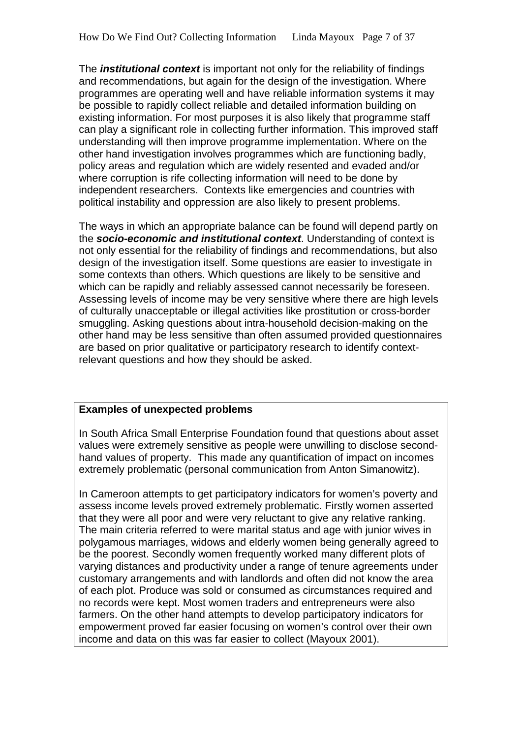The *institutional context* is important not only for the reliability of findings and recommendations, but again for the design of the investigation. Where programmes are operating well and have reliable information systems it may be possible to rapidly collect reliable and detailed information building on existing information. For most purposes it is also likely that programme staff can play a significant role in collecting further information. This improved staff understanding will then improve programme implementation. Where on the other hand investigation involves programmes which are functioning badly, policy areas and regulation which are widely resented and evaded and/or where corruption is rife collecting information will need to be done by independent researchers. Contexts like emergencies and countries with political instability and oppression are also likely to present problems.

The ways in which an appropriate balance can be found will depend partly on the *socio-economic and institutional context*. Understanding of context is not only essential for the reliability of findings and recommendations, but also design of the investigation itself. Some questions are easier to investigate in some contexts than others. Which questions are likely to be sensitive and which can be rapidly and reliably assessed cannot necessarily be foreseen. Assessing levels of income may be very sensitive where there are high levels of culturally unacceptable or illegal activities like prostitution or cross-border smuggling. Asking questions about intra-household decision-making on the other hand may be less sensitive than often assumed provided questionnaires are based on prior qualitative or participatory research to identify contextrelevant questions and how they should be asked.

## **Examples of unexpected problems**

In South Africa Small Enterprise Foundation found that questions about asset values were extremely sensitive as people were unwilling to disclose secondhand values of property. This made any quantification of impact on incomes extremely problematic (personal communication from Anton Simanowitz).

In Cameroon attempts to get participatory indicators for women's poverty and assess income levels proved extremely problematic. Firstly women asserted that they were all poor and were very reluctant to give any relative ranking. The main criteria referred to were marital status and age with junior wives in polygamous marriages, widows and elderly women being generally agreed to be the poorest. Secondly women frequently worked many different plots of varying distances and productivity under a range of tenure agreements under customary arrangements and with landlords and often did not know the area of each plot. Produce was sold or consumed as circumstances required and no records were kept. Most women traders and entrepreneurs were also farmers. On the other hand attempts to develop participatory indicators for empowerment proved far easier focusing on women's control over their own income and data on this was far easier to collect (Mayoux 2001).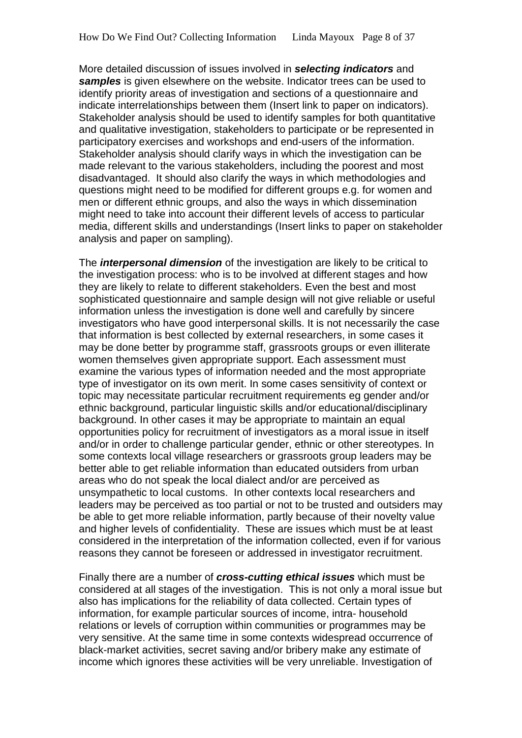More detailed discussion of issues involved in *selecting indicators* and *samples* is given elsewhere on the website. Indicator trees can be used to identify priority areas of investigation and sections of a questionnaire and indicate interrelationships between them (Insert link to paper on indicators). Stakeholder analysis should be used to identify samples for both quantitative and qualitative investigation, stakeholders to participate or be represented in participatory exercises and workshops and end-users of the information. Stakeholder analysis should clarify ways in which the investigation can be made relevant to the various stakeholders, including the poorest and most disadvantaged. It should also clarify the ways in which methodologies and questions might need to be modified for different groups e.g. for women and men or different ethnic groups, and also the ways in which dissemination might need to take into account their different levels of access to particular media, different skills and understandings (Insert links to paper on stakeholder analysis and paper on sampling).

The *interpersonal dimension* of the investigation are likely to be critical to the investigation process: who is to be involved at different stages and how they are likely to relate to different stakeholders. Even the best and most sophisticated questionnaire and sample design will not give reliable or useful information unless the investigation is done well and carefully by sincere investigators who have good interpersonal skills. It is not necessarily the case that information is best collected by external researchers, in some cases it may be done better by programme staff, grassroots groups or even illiterate women themselves given appropriate support. Each assessment must examine the various types of information needed and the most appropriate type of investigator on its own merit. In some cases sensitivity of context or topic may necessitate particular recruitment requirements eg gender and/or ethnic background, particular linguistic skills and/or educational/disciplinary background. In other cases it may be appropriate to maintain an equal opportunities policy for recruitment of investigators as a moral issue in itself and/or in order to challenge particular gender, ethnic or other stereotypes. In some contexts local village researchers or grassroots group leaders may be better able to get reliable information than educated outsiders from urban areas who do not speak the local dialect and/or are perceived as unsympathetic to local customs. In other contexts local researchers and leaders may be perceived as too partial or not to be trusted and outsiders may be able to get more reliable information, partly because of their novelty value and higher levels of confidentiality. These are issues which must be at least considered in the interpretation of the information collected, even if for various reasons they cannot be foreseen or addressed in investigator recruitment.

Finally there are a number of *cross-cutting ethical issues* which must be considered at all stages of the investigation. This is not only a moral issue but also has implications for the reliability of data collected. Certain types of information, for example particular sources of income, intra- household relations or levels of corruption within communities or programmes may be very sensitive. At the same time in some contexts widespread occurrence of black-market activities, secret saving and/or bribery make any estimate of income which ignores these activities will be very unreliable. Investigation of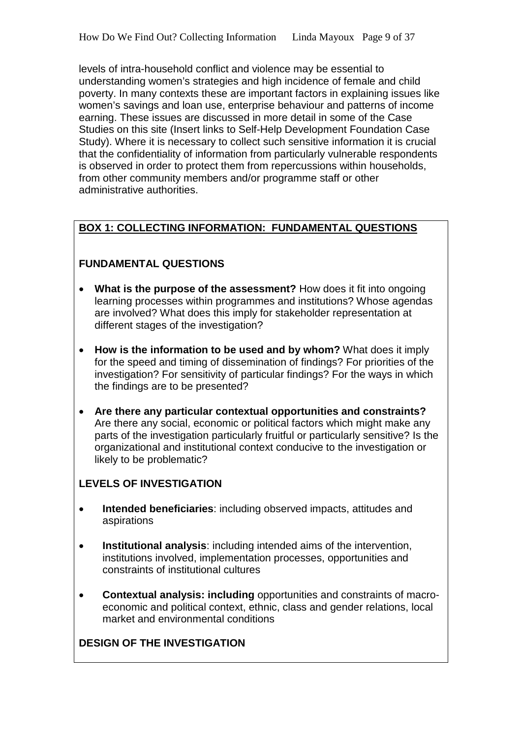levels of intra-household conflict and violence may be essential to understanding women's strategies and high incidence of female and child poverty. In many contexts these are important factors in explaining issues like women's savings and loan use, enterprise behaviour and patterns of income earning. These issues are discussed in more detail in some of the Case Studies on this site (Insert links to Self-Help Development Foundation Case Study). Where it is necessary to collect such sensitive information it is crucial that the confidentiality of information from particularly vulnerable respondents is observed in order to protect them from repercussions within households, from other community members and/or programme staff or other administrative authorities.

# **BOX 1: COLLECTING INFORMATION: FUNDAMENTAL QUESTIONS**

# **FUNDAMENTAL QUESTIONS**

- **What is the purpose of the assessment?** How does it fit into ongoing learning processes within programmes and institutions? Whose agendas are involved? What does this imply for stakeholder representation at different stages of the investigation?
- **How is the information to be used and by whom?** What does it imply for the speed and timing of dissemination of findings? For priorities of the investigation? For sensitivity of particular findings? For the ways in which the findings are to be presented?
- **Are there any particular contextual opportunities and constraints?**  Are there any social, economic or political factors which might make any parts of the investigation particularly fruitful or particularly sensitive? Is the organizational and institutional context conducive to the investigation or likely to be problematic?

# **LEVELS OF INVESTIGATION**

- **Intended beneficiaries**: including observed impacts, attitudes and aspirations
- **Institutional analysis**: including intended aims of the intervention, institutions involved, implementation processes, opportunities and constraints of institutional cultures
- **Contextual analysis: including** opportunities and constraints of macroeconomic and political context, ethnic, class and gender relations, local market and environmental conditions

# **DESIGN OF THE INVESTIGATION**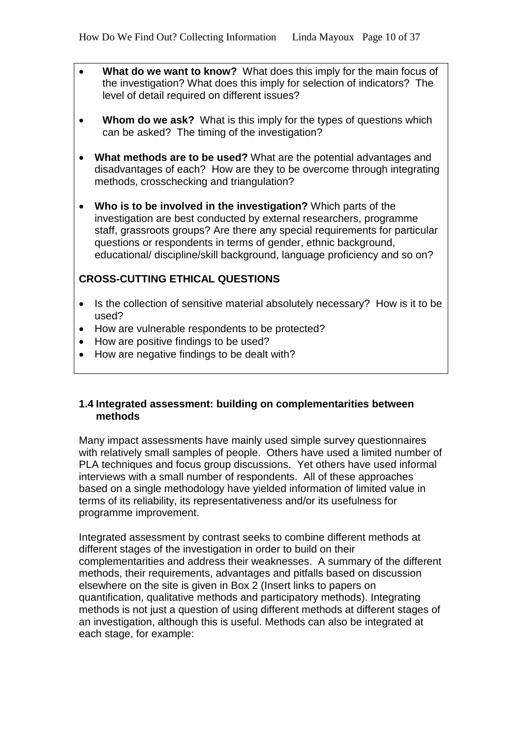- **What do we want to know?** What does this imply for the main focus of the investigation? What does this imply for selection of indicators? The level of detail required on different issues?
- **Whom do we ask?** What is this imply for the types of questions which can be asked? The timing of the investigation?
- **What methods are to be used?** What are the potential advantages and disadvantages of each? How are they to be overcome through integrating methods, crosschecking and triangulation?
- **Who is to be involved in the investigation?** Which parts of the investigation are best conducted by external researchers, programme staff, grassroots groups? Are there any special requirements for particular questions or respondents in terms of gender, ethnic background, educational/ discipline/skill background, language proficiency and so on?

## **CROSS-CUTTING ETHICAL QUESTIONS**

- Is the collection of sensitive material absolutely necessary? How is it to be used?
- How are vulnerable respondents to be protected?
- How are positive findings to be used?
- How are negative findings to be dealt with?

#### **1.4 Integrated assessment: building on complementarities between methods**

Many impact assessments have mainly used simple survey questionnaires with relatively small samples of people. Others have used a limited number of PLA techniques and focus group discussions. Yet others have used informal interviews with a small number of respondents. All of these approaches based on a single methodology have yielded information of limited value in terms of its reliability, its representativeness and/or its usefulness for programme improvement.

Integrated assessment by contrast seeks to combine different methods at different stages of the investigation in order to build on their complementarities and address their weaknesses. A summary of the different methods, their requirements, advantages and pitfalls based on discussion elsewhere on the site is given in Box 2 (Insert links to papers on quantification, qualitative methods and participatory methods). Integrating methods is not just a question of using different methods at different stages of an investigation, although this is useful. Methods can also be integrated at each stage, for example: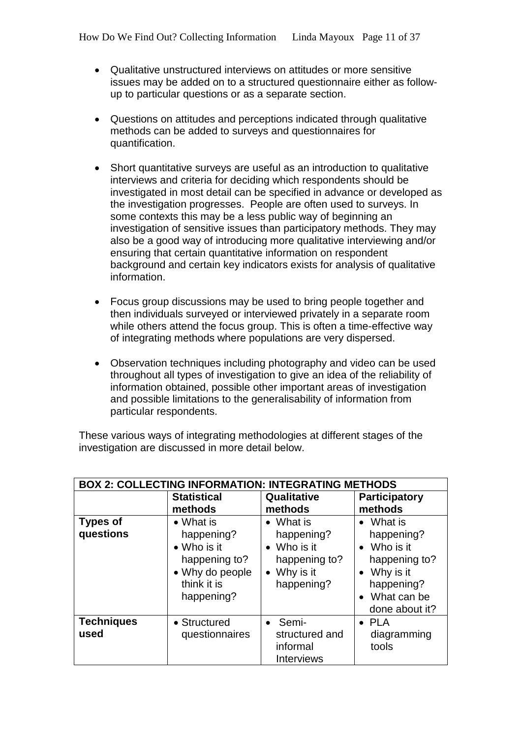- Qualitative unstructured interviews on attitudes or more sensitive issues may be added on to a structured questionnaire either as followup to particular questions or as a separate section.
- Questions on attitudes and perceptions indicated through qualitative methods can be added to surveys and questionnaires for quantification.
- Short quantitative surveys are useful as an introduction to qualitative interviews and criteria for deciding which respondents should be investigated in most detail can be specified in advance or developed as the investigation progresses. People are often used to surveys. In some contexts this may be a less public way of beginning an investigation of sensitive issues than participatory methods. They may also be a good way of introducing more qualitative interviewing and/or ensuring that certain quantitative information on respondent background and certain key indicators exists for analysis of qualitative information.
- Focus group discussions may be used to bring people together and then individuals surveyed or interviewed privately in a separate room while others attend the focus group. This is often a time-effective way of integrating methods where populations are very dispersed.
- Observation techniques including photography and video can be used throughout all types of investigation to give an idea of the reliability of information obtained, possible other important areas of investigation and possible limitations to the generalisability of information from particular respondents.

These various ways of integrating methodologies at different stages of the investigation are discussed in more detail below.

|                              | <b>BOX 2: COLLECTING INFORMATION: INTEGRATING METHODS</b>                                                       |                                                                                              |                                                                                                                                            |  |  |  |
|------------------------------|-----------------------------------------------------------------------------------------------------------------|----------------------------------------------------------------------------------------------|--------------------------------------------------------------------------------------------------------------------------------------------|--|--|--|
|                              | <b>Statistical</b><br>methods                                                                                   | Qualitative<br>methods                                                                       | <b>Participatory</b><br>methods                                                                                                            |  |  |  |
| <b>Types of</b><br>questions | $\bullet$ What is<br>happening?<br>• Who is it<br>happening to?<br>• Why do people<br>think it is<br>happening? | $\bullet$ What is<br>happening?<br>• Who is it<br>happening to?<br>• Why is it<br>happening? | What is<br>$\bullet$<br>happening?<br>• Who is it<br>happening to?<br>$\bullet$ Why is it<br>happening?<br>• What can be<br>done about it? |  |  |  |
| <b>Techniques</b><br>used    | • Structured<br>questionnaires                                                                                  | • Semi-<br>structured and<br>informal<br><b>Interviews</b>                                   | $\bullet$ PLA<br>diagramming<br>tools                                                                                                      |  |  |  |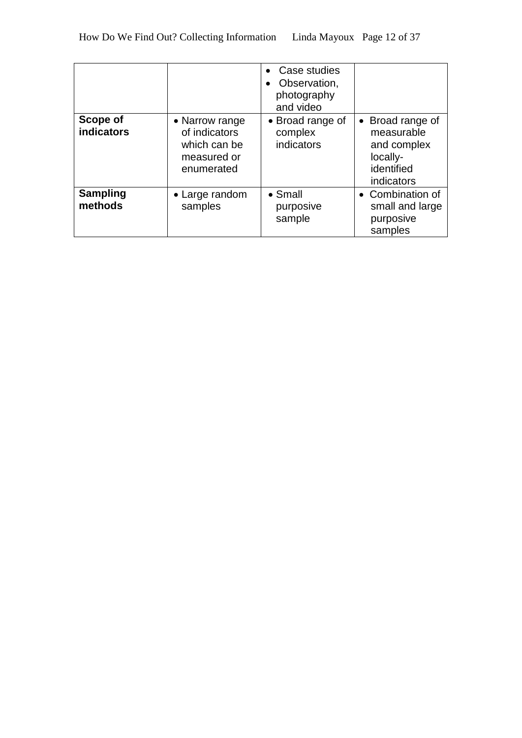|                                      |                                                                              | Case studies<br>Observation,<br>photography<br>and video |                                                                                       |
|--------------------------------------|------------------------------------------------------------------------------|----------------------------------------------------------|---------------------------------------------------------------------------------------|
| <b>Scope of</b><br><b>indicators</b> | • Narrow range<br>of indicators<br>which can be<br>measured or<br>enumerated | • Broad range of<br>complex<br>indicators                | • Broad range of<br>measurable<br>and complex<br>locally-<br>identified<br>indicators |
| <b>Sampling</b><br>methods           | • Large random<br>samples                                                    | $\bullet$ Small<br>purposive<br>sample                   | • Combination of<br>small and large<br>purposive<br>samples                           |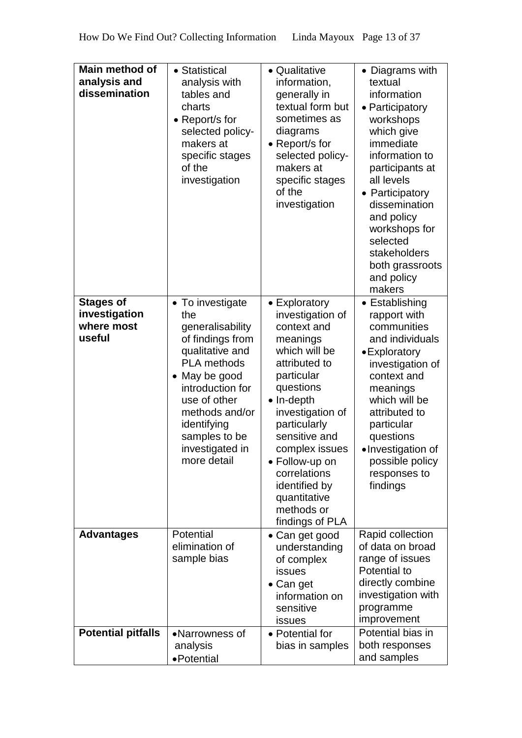| Main method of<br>analysis and<br>dissemination           | • Statistical<br>analysis with<br>tables and<br>charts<br>• Report/s for<br>selected policy-<br>makers at<br>specific stages<br>of the<br>investigation                                                                                           | • Qualitative<br>information,<br>generally in<br>textual form but<br>sometimes as<br>diagrams<br>• Report/s for<br>selected policy-<br>makers at<br>specific stages<br>of the<br>investigation                                                                                                                             | • Diagrams with<br>textual<br>information<br>• Participatory<br>workshops<br>which give<br>immediate<br>information to<br>participants at<br>all levels<br>• Participatory<br>dissemination<br>and policy<br>workshops for<br>selected<br>stakeholders<br>both grassroots<br>and policy<br>makers |
|-----------------------------------------------------------|---------------------------------------------------------------------------------------------------------------------------------------------------------------------------------------------------------------------------------------------------|----------------------------------------------------------------------------------------------------------------------------------------------------------------------------------------------------------------------------------------------------------------------------------------------------------------------------|---------------------------------------------------------------------------------------------------------------------------------------------------------------------------------------------------------------------------------------------------------------------------------------------------|
| <b>Stages of</b><br>investigation<br>where most<br>useful | • To investigate<br>the<br>generalisability<br>of findings from<br>qualitative and<br><b>PLA</b> methods<br>• May be good<br>introduction for<br>use of other<br>methods and/or<br>identifying<br>samples to be<br>investigated in<br>more detail | • Exploratory<br>investigation of<br>context and<br>meanings<br>which will be<br>attributed to<br>particular<br>questions<br>$\bullet$ In-depth<br>investigation of<br>particularly<br>sensitive and<br>complex issues<br>• Follow-up on<br>correlations<br>identified by<br>quantitative<br>methods or<br>findings of PLA | • Establishing<br>rapport with<br>communities<br>and individuals<br>• Exploratory<br>investigation of<br>context and<br>meanings<br>which will be<br>attributed to<br>particular<br>questions<br>·Investigation of<br>possible policy<br>responses to<br>findings                                 |
| <b>Advantages</b>                                         | Potential<br>elimination of<br>sample bias                                                                                                                                                                                                        | • Can get good<br>understanding<br>of complex<br>issues<br>• Can get<br>information on<br>sensitive<br>issues                                                                                                                                                                                                              | Rapid collection<br>of data on broad<br>range of issues<br>Potential to<br>directly combine<br>investigation with<br>programme<br>improvement                                                                                                                                                     |
| <b>Potential pitfalls</b>                                 | •Narrowness of<br>analysis<br>•Potential                                                                                                                                                                                                          | • Potential for<br>bias in samples                                                                                                                                                                                                                                                                                         | Potential bias in<br>both responses<br>and samples                                                                                                                                                                                                                                                |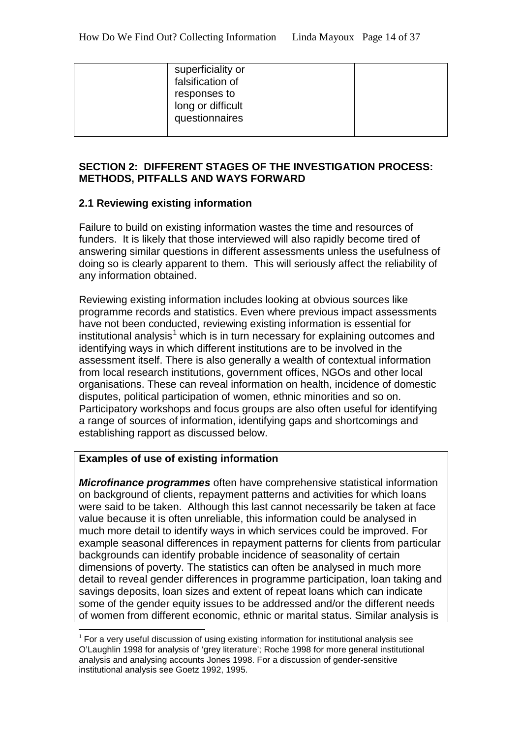| superficiality or<br>falsification of<br>responses to<br>long or difficult<br>questionnaires |  |
|----------------------------------------------------------------------------------------------|--|
|                                                                                              |  |

## **SECTION 2: DIFFERENT STAGES OF THE INVESTIGATION PROCESS: METHODS, PITFALLS AND WAYS FORWARD**

#### **2.1 Reviewing existing information**

Failure to build on existing information wastes the time and resources of funders. It is likely that those interviewed will also rapidly become tired of answering similar questions in different assessments unless the usefulness of doing so is clearly apparent to them.This will seriously affect the reliability of any information obtained.

Reviewing existing information includes looking at obvious sources like programme records and statistics. Even where previous impact assessments have not been conducted, reviewing existing information is essential for institutional analysis<sup>[1](#page-13-0)</sup> which is in turn necessary for explaining outcomes and identifying ways in which different institutions are to be involved in the assessment itself. There is also generally a wealth of contextual information from local research institutions, government offices, NGOs and other local organisations. These can reveal information on health, incidence of domestic disputes, political participation of women, ethnic minorities and so on. Participatory workshops and focus groups are also often useful for identifying a range of sources of information, identifying gaps and shortcomings and establishing rapport as discussed below.

#### **Examples of use of existing information**

*Microfinance programmes* often have comprehensive statistical information on background of clients, repayment patterns and activities for which loans were said to be taken. Although this last cannot necessarily be taken at face value because it is often unreliable, this information could be analysed in much more detail to identify ways in which services could be improved. For example seasonal differences in repayment patterns for clients from particular backgrounds can identify probable incidence of seasonality of certain dimensions of poverty. The statistics can often be analysed in much more detail to reveal gender differences in programme participation, loan taking and savings deposits, loan sizes and extent of repeat loans which can indicate some of the gender equity issues to be addressed and/or the different needs of women from different economic, ethnic or marital status. Similar analysis is

<span id="page-13-0"></span> $1$  For a very useful discussion of using existing information for institutional analysis see O'Laughlin 1998 for analysis of 'grey literature'; Roche 1998 for more general institutional analysis and analysing accounts Jones 1998. For a discussion of gender-sensitive institutional analysis see Goetz 1992, 1995.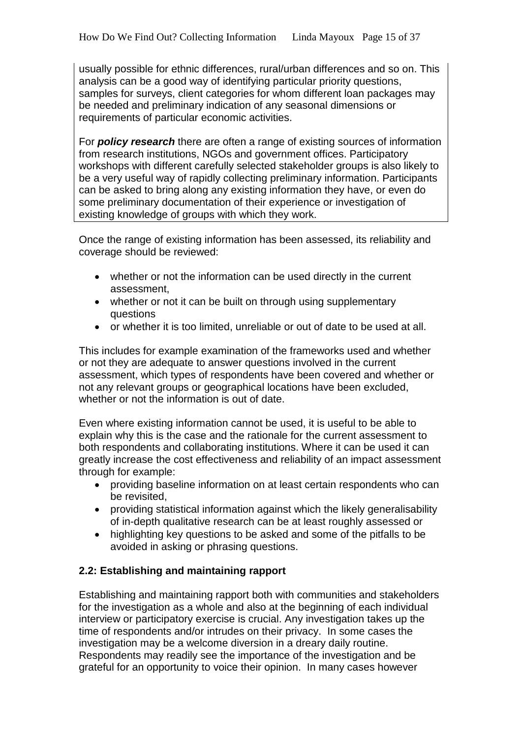usually possible for ethnic differences, rural/urban differences and so on. This analysis can be a good way of identifying particular priority questions, samples for surveys, client categories for whom different loan packages may be needed and preliminary indication of any seasonal dimensions or requirements of particular economic activities.

For *policy research* there are often a range of existing sources of information from research institutions, NGOs and government offices. Participatory workshops with different carefully selected stakeholder groups is also likely to be a very useful way of rapidly collecting preliminary information. Participants can be asked to bring along any existing information they have, or even do some preliminary documentation of their experience or investigation of existing knowledge of groups with which they work.

Once the range of existing information has been assessed, its reliability and coverage should be reviewed:

- whether or not the information can be used directly in the current assessment,
- whether or not it can be built on through using supplementary questions
- or whether it is too limited, unreliable or out of date to be used at all.

This includes for example examination of the frameworks used and whether or not they are adequate to answer questions involved in the current assessment, which types of respondents have been covered and whether or not any relevant groups or geographical locations have been excluded, whether or not the information is out of date.

Even where existing information cannot be used, it is useful to be able to explain why this is the case and the rationale for the current assessment to both respondents and collaborating institutions. Where it can be used it can greatly increase the cost effectiveness and reliability of an impact assessment through for example:

- providing baseline information on at least certain respondents who can be revisited,
- providing statistical information against which the likely generalisability of in-depth qualitative research can be at least roughly assessed or
- highlighting key questions to be asked and some of the pitfalls to be avoided in asking or phrasing questions.

# **2.2: Establishing and maintaining rapport**

Establishing and maintaining rapport both with communities and stakeholders for the investigation as a whole and also at the beginning of each individual interview or participatory exercise is crucial. Any investigation takes up the time of respondents and/or intrudes on their privacy. In some cases the investigation may be a welcome diversion in a dreary daily routine. Respondents may readily see the importance of the investigation and be grateful for an opportunity to voice their opinion. In many cases however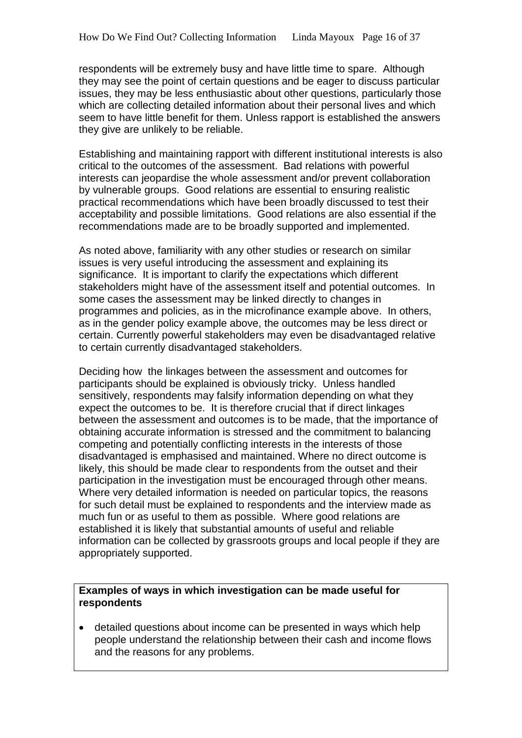respondents will be extremely busy and have little time to spare. Although they may see the point of certain questions and be eager to discuss particular issues, they may be less enthusiastic about other questions, particularly those which are collecting detailed information about their personal lives and which seem to have little benefit for them. Unless rapport is established the answers they give are unlikely to be reliable.

Establishing and maintaining rapport with different institutional interests is also critical to the outcomes of the assessment. Bad relations with powerful interests can jeopardise the whole assessment and/or prevent collaboration by vulnerable groups. Good relations are essential to ensuring realistic practical recommendations which have been broadly discussed to test their acceptability and possible limitations. Good relations are also essential if the recommendations made are to be broadly supported and implemented.

As noted above, familiarity with any other studies or research on similar issues is very useful introducing the assessment and explaining its significance. It is important to clarify the expectations which different stakeholders might have of the assessment itself and potential outcomes. In some cases the assessment may be linked directly to changes in programmes and policies, as in the microfinance example above. In others, as in the gender policy example above, the outcomes may be less direct or certain. Currently powerful stakeholders may even be disadvantaged relative to certain currently disadvantaged stakeholders.

Deciding how the linkages between the assessment and outcomes for participants should be explained is obviously tricky. Unless handled sensitively, respondents may falsify information depending on what they expect the outcomes to be. It is therefore crucial that if direct linkages between the assessment and outcomes is to be made, that the importance of obtaining accurate information is stressed and the commitment to balancing competing and potentially conflicting interests in the interests of those disadvantaged is emphasised and maintained. Where no direct outcome is likely, this should be made clear to respondents from the outset and their participation in the investigation must be encouraged through other means. Where very detailed information is needed on particular topics, the reasons for such detail must be explained to respondents and the interview made as much fun or as useful to them as possible. Where good relations are established it is likely that substantial amounts of useful and reliable information can be collected by grassroots groups and local people if they are appropriately supported.

#### **Examples of ways in which investigation can be made useful for respondents**

• detailed questions about income can be presented in ways which help people understand the relationship between their cash and income flows and the reasons for any problems.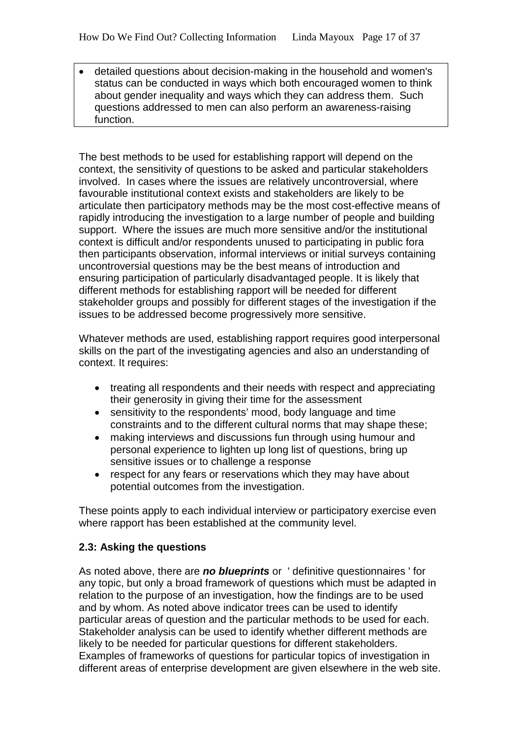• detailed questions about decision-making in the household and women's status can be conducted in ways which both encouraged women to think about gender inequality and ways which they can address them. Such questions addressed to men can also perform an awareness-raising function.

The best methods to be used for establishing rapport will depend on the context, the sensitivity of questions to be asked and particular stakeholders involved. In cases where the issues are relatively uncontroversial, where favourable institutional context exists and stakeholders are likely to be articulate then participatory methods may be the most cost-effective means of rapidly introducing the investigation to a large number of people and building support. Where the issues are much more sensitive and/or the institutional context is difficult and/or respondents unused to participating in public fora then participants observation, informal interviews or initial surveys containing uncontroversial questions may be the best means of introduction and ensuring participation of particularly disadvantaged people. It is likely that different methods for establishing rapport will be needed for different stakeholder groups and possibly for different stages of the investigation if the issues to be addressed become progressively more sensitive.

Whatever methods are used, establishing rapport requires good interpersonal skills on the part of the investigating agencies and also an understanding of context. It requires:

- treating all respondents and their needs with respect and appreciating their generosity in giving their time for the assessment
- sensitivity to the respondents' mood, body language and time constraints and to the different cultural norms that may shape these;
- making interviews and discussions fun through using humour and personal experience to lighten up long list of questions, bring up sensitive issues or to challenge a response
- respect for any fears or reservations which they may have about potential outcomes from the investigation.

These points apply to each individual interview or participatory exercise even where rapport has been established at the community level.

# **2.3: Asking the questions**

As noted above, there are *no blueprints* or ' definitive questionnaires ' for any topic, but only a broad framework of questions which must be adapted in relation to the purpose of an investigation, how the findings are to be used and by whom. As noted above indicator trees can be used to identify particular areas of question and the particular methods to be used for each. Stakeholder analysis can be used to identify whether different methods are likely to be needed for particular questions for different stakeholders. Examples of frameworks of questions for particular topics of investigation in different areas of enterprise development are given elsewhere in the web site.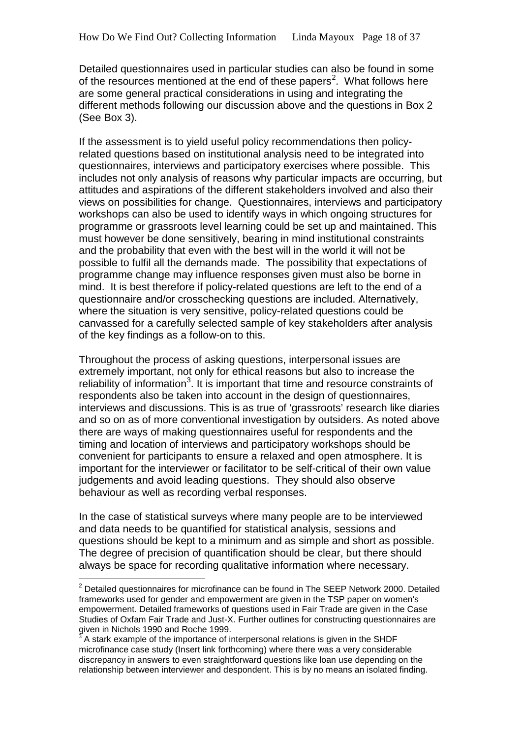Detailed questionnaires used in particular studies can also be found in some of the resources mentioned at the end of these papers<sup>[2](#page-17-0)</sup>. What follows here are some general practical considerations in using and integrating the different methods following our discussion above and the questions in Box 2 (See Box 3).

If the assessment is to yield useful policy recommendations then policyrelated questions based on institutional analysis need to be integrated into questionnaires, interviews and participatory exercises where possible. This includes not only analysis of reasons why particular impacts are occurring, but attitudes and aspirations of the different stakeholders involved and also their views on possibilities for change. Questionnaires, interviews and participatory workshops can also be used to identify ways in which ongoing structures for programme or grassroots level learning could be set up and maintained. This must however be done sensitively, bearing in mind institutional constraints and the probability that even with the best will in the world it will not be possible to fulfil all the demands made. The possibility that expectations of programme change may influence responses given must also be borne in mind. It is best therefore if policy-related questions are left to the end of a questionnaire and/or crosschecking questions are included. Alternatively, where the situation is very sensitive, policy-related questions could be canvassed for a carefully selected sample of key stakeholders after analysis of the key findings as a follow-on to this.

Throughout the process of asking questions, interpersonal issues are extremely important, not only for ethical reasons but also to increase the reliability of information<sup>[3](#page-17-1)</sup>. It is important that time and resource constraints of respondents also be taken into account in the design of questionnaires, interviews and discussions. This is as true of 'grassroots' research like diaries and so on as of more conventional investigation by outsiders. As noted above there are ways of making questionnaires useful for respondents and the timing and location of interviews and participatory workshops should be convenient for participants to ensure a relaxed and open atmosphere. It is important for the interviewer or facilitator to be self-critical of their own value judgements and avoid leading questions. They should also observe behaviour as well as recording verbal responses.

In the case of statistical surveys where many people are to be interviewed and data needs to be quantified for statistical analysis, sessions and questions should be kept to a minimum and as simple and short as possible. The degree of precision of quantification should be clear, but there should always be space for recording qualitative information where necessary.

<span id="page-17-0"></span> $2$  Detailed questionnaires for microfinance can be found in The SEEP Network 2000. Detailed frameworks used for gender and empowerment are given in the TSP paper on women's empowerment. Detailed frameworks of questions used in Fair Trade are given in the Case Studies of Oxfam Fair Trade and Just-X. Further outlines for constructing questionnaires are given in Nichols 1990 and Roche 1999.

<span id="page-17-1"></span>A stark example of the importance of interpersonal relations is given in the SHDF microfinance case study (Insert link forthcoming) where there was a very considerable discrepancy in answers to even straightforward questions like loan use depending on the relationship between interviewer and despondent. This is by no means an isolated finding.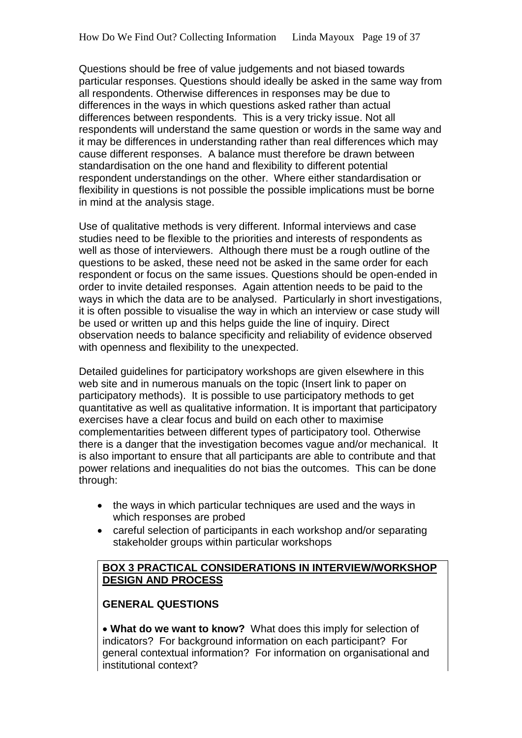Questions should be free of value judgements and not biased towards particular responses. Questions should ideally be asked in the same way from all respondents. Otherwise differences in responses may be due to differences in the ways in which questions asked rather than actual differences between respondents. This is a very tricky issue. Not all respondents will understand the same question or words in the same way and it may be differences in understanding rather than real differences which may cause different responses. A balance must therefore be drawn between standardisation on the one hand and flexibility to different potential respondent understandings on the other. Where either standardisation or flexibility in questions is not possible the possible implications must be borne in mind at the analysis stage.

Use of qualitative methods is very different. Informal interviews and case studies need to be flexible to the priorities and interests of respondents as well as those of interviewers. Although there must be a rough outline of the questions to be asked, these need not be asked in the same order for each respondent or focus on the same issues. Questions should be open-ended in order to invite detailed responses. Again attention needs to be paid to the ways in which the data are to be analysed. Particularly in short investigations, it is often possible to visualise the way in which an interview or case study will be used or written up and this helps quide the line of inquiry. Direct observation needs to balance specificity and reliability of evidence observed with openness and flexibility to the unexpected.

Detailed guidelines for participatory workshops are given elsewhere in this web site and in numerous manuals on the topic (Insert link to paper on participatory methods). It is possible to use participatory methods to get quantitative as well as qualitative information. It is important that participatory exercises have a clear focus and build on each other to maximise complementarities between different types of participatory tool. Otherwise there is a danger that the investigation becomes vague and/or mechanical. It is also important to ensure that all participants are able to contribute and that power relations and inequalities do not bias the outcomes. This can be done through:

- the ways in which particular techniques are used and the ways in which responses are probed
- careful selection of participants in each workshop and/or separating stakeholder groups within particular workshops

## **BOX 3 PRACTICAL CONSIDERATIONS IN INTERVIEW/WORKSHOP DESIGN AND PROCESS**

# **GENERAL QUESTIONS**

• **What do we want to know?** What does this imply for selection of indicators? For background information on each participant? For general contextual information? For information on organisational and institutional context?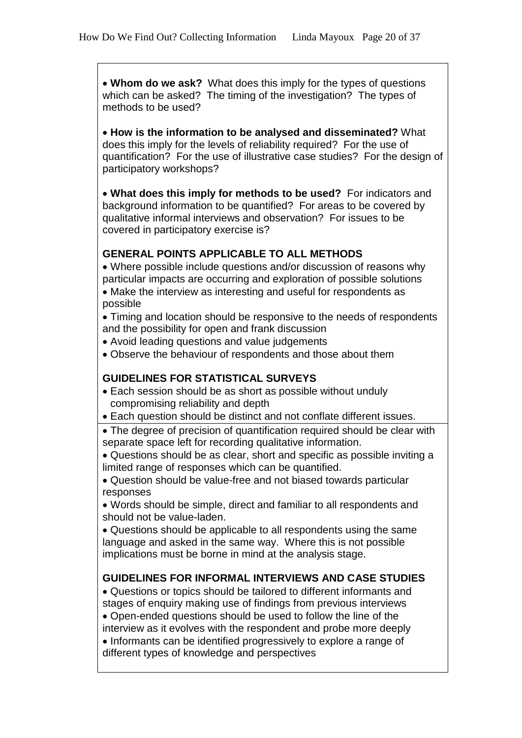• **Whom do we ask?** What does this imply for the types of questions which can be asked? The timing of the investigation? The types of methods to be used?

• **How is the information to be analysed and disseminated?** What does this imply for the levels of reliability required? For the use of quantification? For the use of illustrative case studies? For the design of participatory workshops?

• **What does this imply for methods to be used?** For indicators and background information to be quantified? For areas to be covered by qualitative informal interviews and observation? For issues to be covered in participatory exercise is?

#### **GENERAL POINTS APPLICABLE TO ALL METHODS**

• Where possible include questions and/or discussion of reasons why particular impacts are occurring and exploration of possible solutions • Make the interview as interesting and useful for respondents as possible

• Timing and location should be responsive to the needs of respondents and the possibility for open and frank discussion

- Avoid leading questions and value judgements
- Observe the behaviour of respondents and those about them

#### **GUIDELINES FOR STATISTICAL SURVEYS**

- Each session should be as short as possible without unduly compromising reliability and depth
- Each question should be distinct and not conflate different issues.
- The degree of precision of quantification required should be clear with separate space left for recording qualitative information.
- Questions should be as clear, short and specific as possible inviting a limited range of responses which can be quantified.
- Question should be value-free and not biased towards particular responses

• Words should be simple, direct and familiar to all respondents and should not be value-laden.

• Questions should be applicable to all respondents using the same language and asked in the same way. Where this is not possible implications must be borne in mind at the analysis stage.

#### **GUIDELINES FOR INFORMAL INTERVIEWS AND CASE STUDIES**

• Questions or topics should be tailored to different informants and stages of enquiry making use of findings from previous interviews

• Open-ended questions should be used to follow the line of the interview as it evolves with the respondent and probe more deeply

• Informants can be identified progressively to explore a range of different types of knowledge and perspectives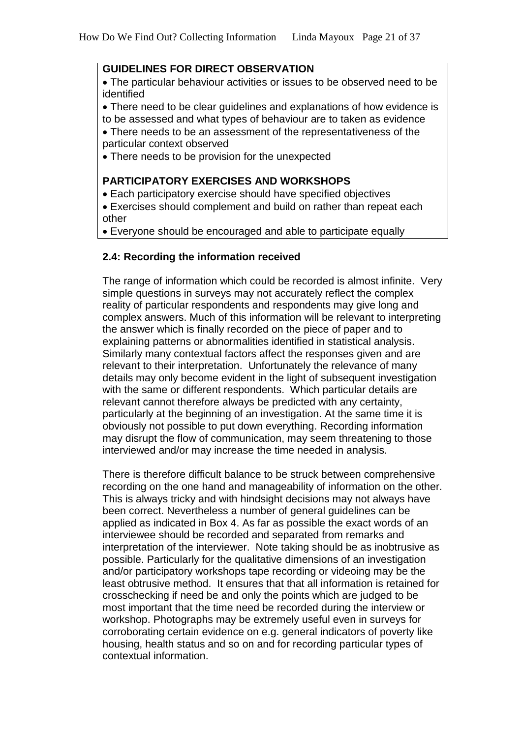#### **GUIDELINES FOR DIRECT OBSERVATION**

• The particular behaviour activities or issues to be observed need to be identified

• There need to be clear guidelines and explanations of how evidence is to be assessed and what types of behaviour are to taken as evidence

• There needs to be an assessment of the representativeness of the particular context observed

• There needs to be provision for the unexpected

#### **PARTICIPATORY EXERCISES AND WORKSHOPS**

- Each participatory exercise should have specified objectives
- Exercises should complement and build on rather than repeat each other

• Everyone should be encouraged and able to participate equally

# **2.4: Recording the information received**

The range of information which could be recorded is almost infinite. Very simple questions in surveys may not accurately reflect the complex reality of particular respondents and respondents may give long and complex answers. Much of this information will be relevant to interpreting the answer which is finally recorded on the piece of paper and to explaining patterns or abnormalities identified in statistical analysis. Similarly many contextual factors affect the responses given and are relevant to their interpretation. Unfortunately the relevance of many details may only become evident in the light of subsequent investigation with the same or different respondents. Which particular details are relevant cannot therefore always be predicted with any certainty, particularly at the beginning of an investigation. At the same time it is obviously not possible to put down everything. Recording information may disrupt the flow of communication, may seem threatening to those interviewed and/or may increase the time needed in analysis.

There is therefore difficult balance to be struck between comprehensive recording on the one hand and manageability of information on the other. This is always tricky and with hindsight decisions may not always have been correct. Nevertheless a number of general guidelines can be applied as indicated in Box 4. As far as possible the exact words of an interviewee should be recorded and separated from remarks and interpretation of the interviewer. Note taking should be as inobtrusive as possible. Particularly for the qualitative dimensions of an investigation and/or participatory workshops tape recording or videoing may be the least obtrusive method. It ensures that that all information is retained for crosschecking if need be and only the points which are judged to be most important that the time need be recorded during the interview or workshop. Photographs may be extremely useful even in surveys for corroborating certain evidence on e.g. general indicators of poverty like housing, health status and so on and for recording particular types of contextual information.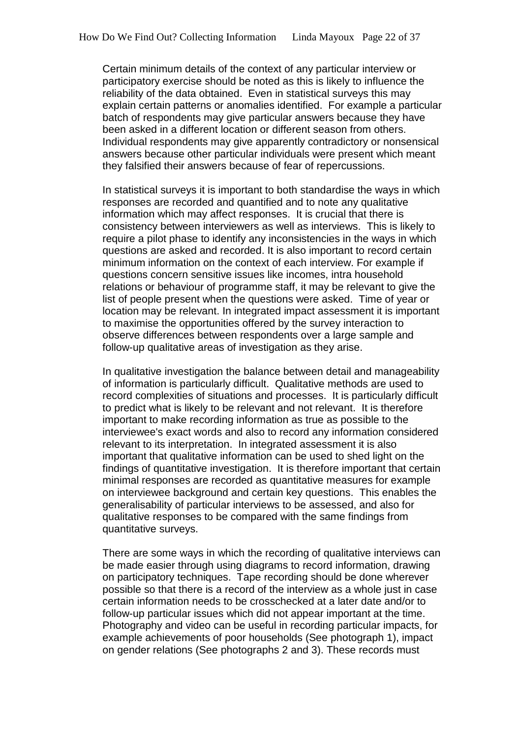Certain minimum details of the context of any particular interview or participatory exercise should be noted as this is likely to influence the reliability of the data obtained. Even in statistical surveys this may explain certain patterns or anomalies identified. For example a particular batch of respondents may give particular answers because they have been asked in a different location or different season from others. Individual respondents may give apparently contradictory or nonsensical answers because other particular individuals were present which meant they falsified their answers because of fear of repercussions.

In statistical surveys it is important to both standardise the ways in which responses are recorded and quantified and to note any qualitative information which may affect responses. It is crucial that there is consistency between interviewers as well as interviews. This is likely to require a pilot phase to identify any inconsistencies in the ways in which questions are asked and recorded. It is also important to record certain minimum information on the context of each interview. For example if questions concern sensitive issues like incomes, intra household relations or behaviour of programme staff, it may be relevant to give the list of people present when the questions were asked. Time of year or location may be relevant. In integrated impact assessment it is important to maximise the opportunities offered by the survey interaction to observe differences between respondents over a large sample and follow-up qualitative areas of investigation as they arise.

In qualitative investigation the balance between detail and manageability of information is particularly difficult. Qualitative methods are used to record complexities of situations and processes. It is particularly difficult to predict what is likely to be relevant and not relevant. It is therefore important to make recording information as true as possible to the interviewee's exact words and also to record any information considered relevant to its interpretation. In integrated assessment it is also important that qualitative information can be used to shed light on the findings of quantitative investigation. It is therefore important that certain minimal responses are recorded as quantitative measures for example on interviewee background and certain key questions. This enables the generalisability of particular interviews to be assessed, and also for qualitative responses to be compared with the same findings from quantitative surveys.

There are some ways in which the recording of qualitative interviews can be made easier through using diagrams to record information, drawing on participatory techniques. Tape recording should be done wherever possible so that there is a record of the interview as a whole just in case certain information needs to be crosschecked at a later date and/or to follow-up particular issues which did not appear important at the time. Photography and video can be useful in recording particular impacts, for example achievements of poor households (See photograph 1), impact on gender relations (See photographs 2 and 3). These records must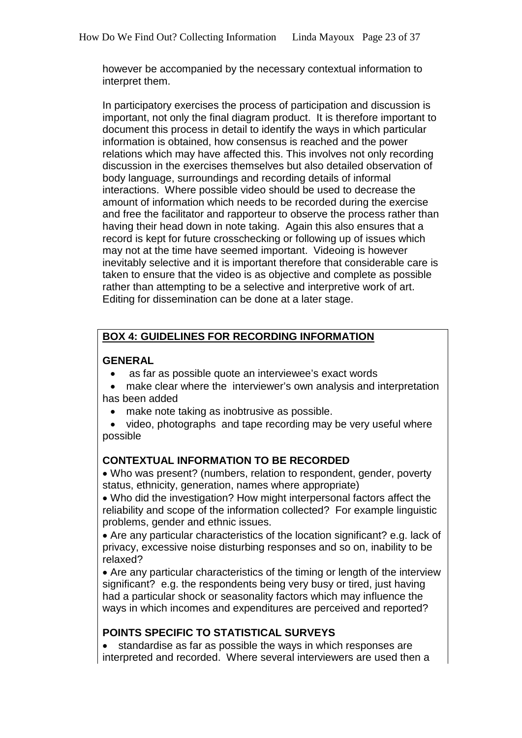however be accompanied by the necessary contextual information to interpret them.

In participatory exercises the process of participation and discussion is important, not only the final diagram product. It is therefore important to document this process in detail to identify the ways in which particular information is obtained, how consensus is reached and the power relations which may have affected this. This involves not only recording discussion in the exercises themselves but also detailed observation of body language, surroundings and recording details of informal interactions. Where possible video should be used to decrease the amount of information which needs to be recorded during the exercise and free the facilitator and rapporteur to observe the process rather than having their head down in note taking. Again this also ensures that a record is kept for future crosschecking or following up of issues which may not at the time have seemed important. Videoing is however inevitably selective and it is important therefore that considerable care is taken to ensure that the video is as objective and complete as possible rather than attempting to be a selective and interpretive work of art. Editing for dissemination can be done at a later stage.

# **BOX 4: GUIDELINES FOR RECORDING INFORMATION**

## **GENERAL**

- as far as possible quote an interviewee's exact words
- make clear where the interviewer's own analysis and interpretation has been added
	- make note taking as inobtrusive as possible.

• video, photographs and tape recording may be very useful where possible

# **CONTEXTUAL INFORMATION TO BE RECORDED**

• Who was present? (numbers, relation to respondent, gender, poverty status, ethnicity, generation, names where appropriate)

• Who did the investigation? How might interpersonal factors affect the reliability and scope of the information collected? For example linguistic problems, gender and ethnic issues.

• Are any particular characteristics of the location significant? e.g. lack of privacy, excessive noise disturbing responses and so on, inability to be relaxed?

• Are any particular characteristics of the timing or length of the interview significant? e.g. the respondents being very busy or tired, just having had a particular shock or seasonality factors which may influence the ways in which incomes and expenditures are perceived and reported?

# **POINTS SPECIFIC TO STATISTICAL SURVEYS**

• standardise as far as possible the ways in which responses are interpreted and recorded. Where several interviewers are used then a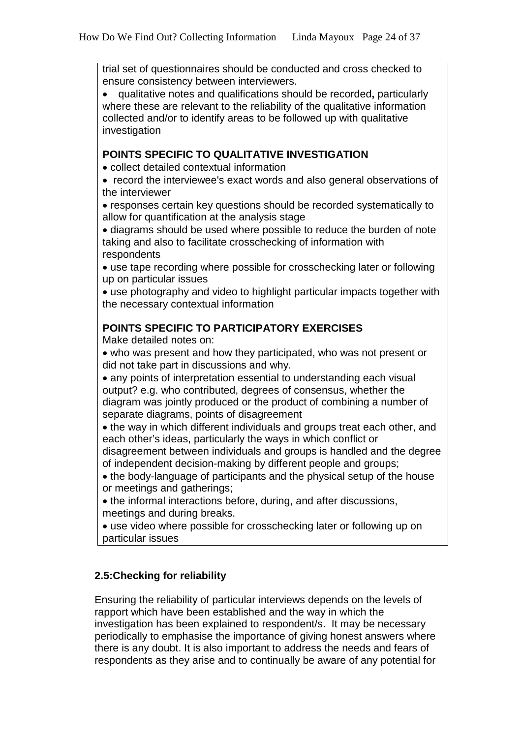trial set of questionnaires should be conducted and cross checked to ensure consistency between interviewers.

• qualitative notes and qualifications should be recorded**,** particularly where these are relevant to the reliability of the qualitative information collected and/or to identify areas to be followed up with qualitative investigation

## **POINTS SPECIFIC TO QUALITATIVE INVESTIGATION**

• collect detailed contextual information

• record the interviewee's exact words and also general observations of the interviewer

• responses certain key questions should be recorded systematically to allow for quantification at the analysis stage

• diagrams should be used where possible to reduce the burden of note taking and also to facilitate crosschecking of information with respondents

• use tape recording where possible for crosschecking later or following up on particular issues

• use photography and video to highlight particular impacts together with the necessary contextual information

## **POINTS SPECIFIC TO PARTICIPATORY EXERCISES**

Make detailed notes on:

• who was present and how they participated, who was not present or did not take part in discussions and why.

• any points of interpretation essential to understanding each visual output? e.g. who contributed, degrees of consensus, whether the diagram was jointly produced or the product of combining a number of separate diagrams, points of disagreement

• the way in which different individuals and groups treat each other, and each other's ideas, particularly the ways in which conflict or

disagreement between individuals and groups is handled and the degree of independent decision-making by different people and groups;

• the body-language of participants and the physical setup of the house or meetings and gatherings;

• the informal interactions before, during, and after discussions, meetings and during breaks.

• use video where possible for crosschecking later or following up on particular issues

# **2.5:Checking for reliability**

Ensuring the reliability of particular interviews depends on the levels of rapport which have been established and the way in which the investigation has been explained to respondent/s. It may be necessary periodically to emphasise the importance of giving honest answers where there is any doubt. It is also important to address the needs and fears of respondents as they arise and to continually be aware of any potential for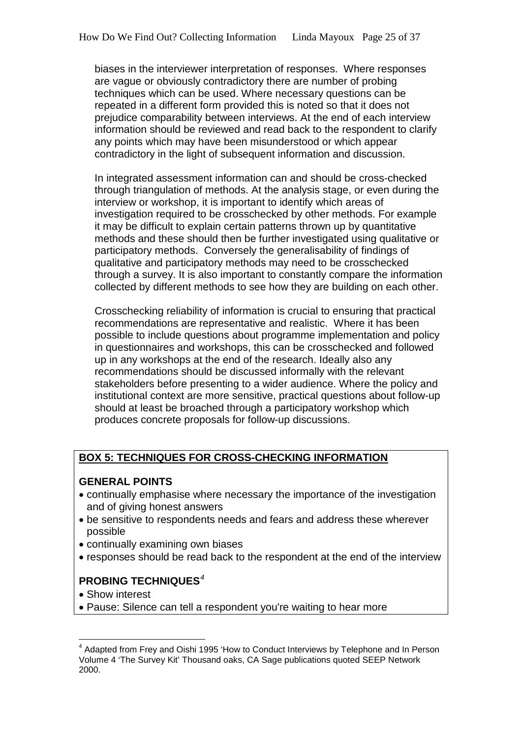biases in the interviewer interpretation of responses. Where responses are vague or obviously contradictory there are number of probing techniques which can be used. Where necessary questions can be repeated in a different form provided this is noted so that it does not prejudice comparability between interviews. At the end of each interview information should be reviewed and read back to the respondent to clarify any points which may have been misunderstood or which appear contradictory in the light of subsequent information and discussion.

In integrated assessment information can and should be cross-checked through triangulation of methods. At the analysis stage, or even during the interview or workshop, it is important to identify which areas of investigation required to be crosschecked by other methods. For example it may be difficult to explain certain patterns thrown up by quantitative methods and these should then be further investigated using qualitative or participatory methods. Conversely the generalisability of findings of qualitative and participatory methods may need to be crosschecked through a survey. It is also important to constantly compare the information collected by different methods to see how they are building on each other.

Crosschecking reliability of information is crucial to ensuring that practical recommendations are representative and realistic. Where it has been possible to include questions about programme implementation and policy in questionnaires and workshops, this can be crosschecked and followed up in any workshops at the end of the research. Ideally also any recommendations should be discussed informally with the relevant stakeholders before presenting to a wider audience. Where the policy and institutional context are more sensitive, practical questions about follow-up should at least be broached through a participatory workshop which produces concrete proposals for follow-up discussions.

# **BOX 5: TECHNIQUES FOR CROSS-CHECKING INFORMATION**

#### **GENERAL POINTS**

- continually emphasise where necessary the importance of the investigation and of giving honest answers
- be sensitive to respondents needs and fears and address these wherever possible
- continually examining own biases
- responses should be read back to the respondent at the end of the interview

# **PROBING TECHNIQUES***[4](#page-24-0)*

- Show interest
- Pause: Silence can tell a respondent you're waiting to hear more

<span id="page-24-0"></span><sup>4</sup> Adapted from Frey and Oishi 1995 'How to Conduct Interviews by Telephone and In Person Volume 4 'The Survey Kit' Thousand oaks, CA Sage publications quoted SEEP Network 2000.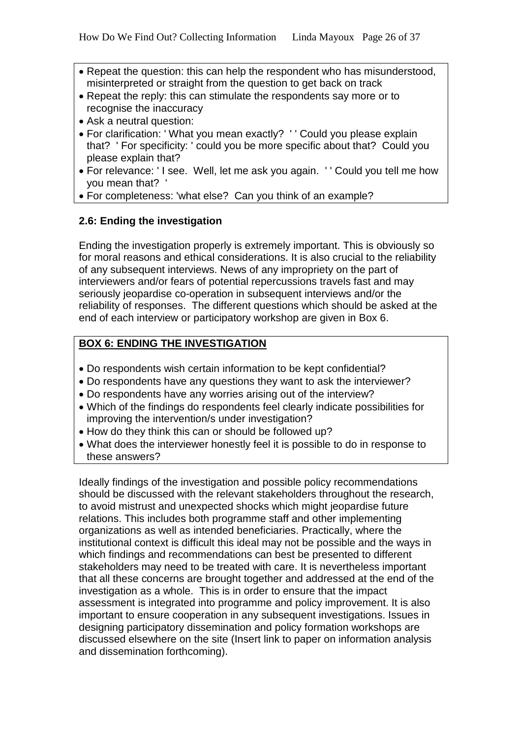- Repeat the question: this can help the respondent who has misunderstood, misinterpreted or straight from the question to get back on track
- Repeat the reply: this can stimulate the respondents say more or to recognise the inaccuracy
- Ask a neutral question:
- For clarification: ' What you mean exactly? ' ' Could you please explain that? ' For specificity: ' could you be more specific about that? Could you please explain that?
- For relevance: ' I see. Well, let me ask you again. ' ' Could you tell me how you mean that? '
- For completeness: 'what else? Can you think of an example?

# **2.6: Ending the investigation**

Ending the investigation properly is extremely important. This is obviously so for moral reasons and ethical considerations. It is also crucial to the reliability of any subsequent interviews. News of any impropriety on the part of interviewers and/or fears of potential repercussions travels fast and may seriously jeopardise co-operation in subsequent interviews and/or the reliability of responses. The different questions which should be asked at the end of each interview or participatory workshop are given in Box 6.

# **BOX 6: ENDING THE INVESTIGATION**

- Do respondents wish certain information to be kept confidential?
- Do respondents have any questions they want to ask the interviewer?
- Do respondents have any worries arising out of the interview?
- Which of the findings do respondents feel clearly indicate possibilities for improving the intervention/s under investigation?
- How do they think this can or should be followed up?
- What does the interviewer honestly feel it is possible to do in response to these answers?

Ideally findings of the investigation and possible policy recommendations should be discussed with the relevant stakeholders throughout the research, to avoid mistrust and unexpected shocks which might jeopardise future relations. This includes both programme staff and other implementing organizations as well as intended beneficiaries. Practically, where the institutional context is difficult this ideal may not be possible and the ways in which findings and recommendations can best be presented to different stakeholders may need to be treated with care. It is nevertheless important that all these concerns are brought together and addressed at the end of the investigation as a whole. This is in order to ensure that the impact assessment is integrated into programme and policy improvement. It is also important to ensure cooperation in any subsequent investigations. Issues in designing participatory dissemination and policy formation workshops are discussed elsewhere on the site (Insert link to paper on information analysis and dissemination forthcoming).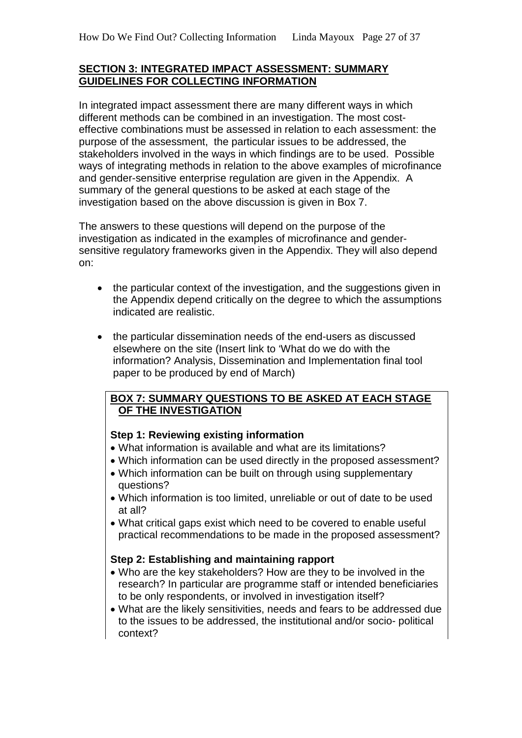#### **SECTION 3: INTEGRATED IMPACT ASSESSMENT: SUMMARY GUIDELINES FOR COLLECTING INFORMATION**

In integrated impact assessment there are many different ways in which different methods can be combined in an investigation. The most costeffective combinations must be assessed in relation to each assessment: the purpose of the assessment, the particular issues to be addressed, the stakeholders involved in the ways in which findings are to be used. Possible ways of integrating methods in relation to the above examples of microfinance and gender-sensitive enterprise regulation are given in the Appendix. A summary of the general questions to be asked at each stage of the investigation based on the above discussion is given in Box 7.

The answers to these questions will depend on the purpose of the investigation as indicated in the examples of microfinance and gendersensitive regulatory frameworks given in the Appendix. They will also depend on:

- the particular context of the investigation, and the suggestions given in the Appendix depend critically on the degree to which the assumptions indicated are realistic.
- the particular dissemination needs of the end-users as discussed elsewhere on the site (Insert link to 'What do we do with the information? Analysis, Dissemination and Implementation final tool paper to be produced by end of March)

## **BOX 7: SUMMARY QUESTIONS TO BE ASKED AT EACH STAGE OF THE INVESTIGATION**

# **Step 1: Reviewing existing information**

- What information is available and what are its limitations?
- Which information can be used directly in the proposed assessment?
- Which information can be built on through using supplementary questions?
- Which information is too limited, unreliable or out of date to be used at all?
- What critical gaps exist which need to be covered to enable useful practical recommendations to be made in the proposed assessment?

# **Step 2: Establishing and maintaining rapport**

- Who are the key stakeholders? How are they to be involved in the research? In particular are programme staff or intended beneficiaries to be only respondents, or involved in investigation itself?
- What are the likely sensitivities, needs and fears to be addressed due to the issues to be addressed, the institutional and/or socio- political context?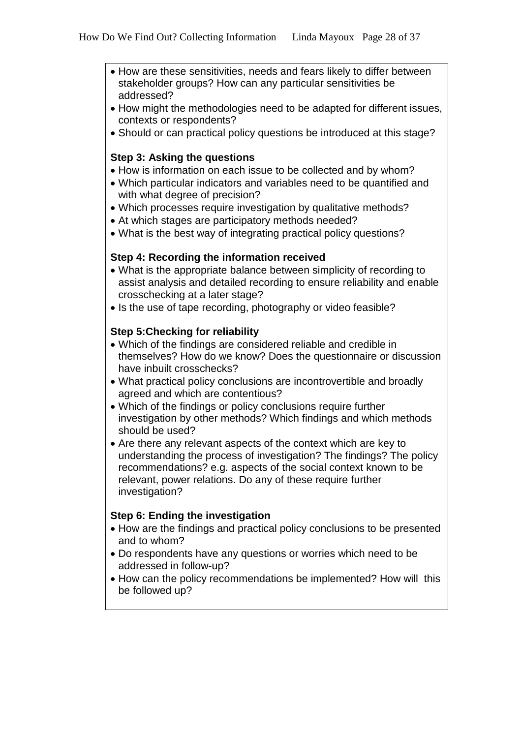- How are these sensitivities, needs and fears likely to differ between stakeholder groups? How can any particular sensitivities be addressed?
- How might the methodologies need to be adapted for different issues, contexts or respondents?
- Should or can practical policy questions be introduced at this stage?

#### **Step 3: Asking the questions**

- How is information on each issue to be collected and by whom?
- Which particular indicators and variables need to be quantified and with what degree of precision?
- Which processes require investigation by qualitative methods?
- At which stages are participatory methods needed?
- What is the best way of integrating practical policy questions?

## **Step 4: Recording the information received**

- What is the appropriate balance between simplicity of recording to assist analysis and detailed recording to ensure reliability and enable crosschecking at a later stage?
- Is the use of tape recording, photography or video feasible?

## **Step 5:Checking for reliability**

- Which of the findings are considered reliable and credible in themselves? How do we know? Does the questionnaire or discussion have inbuilt crosschecks?
- What practical policy conclusions are incontrovertible and broadly agreed and which are contentious?
- Which of the findings or policy conclusions require further investigation by other methods? Which findings and which methods should be used?
- Are there any relevant aspects of the context which are key to understanding the process of investigation? The findings? The policy recommendations? e.g. aspects of the social context known to be relevant, power relations. Do any of these require further investigation?

#### **Step 6: Ending the investigation**

- How are the findings and practical policy conclusions to be presented and to whom?
- Do respondents have any questions or worries which need to be addressed in follow-up?
- How can the policy recommendations be implemented? How will this be followed up?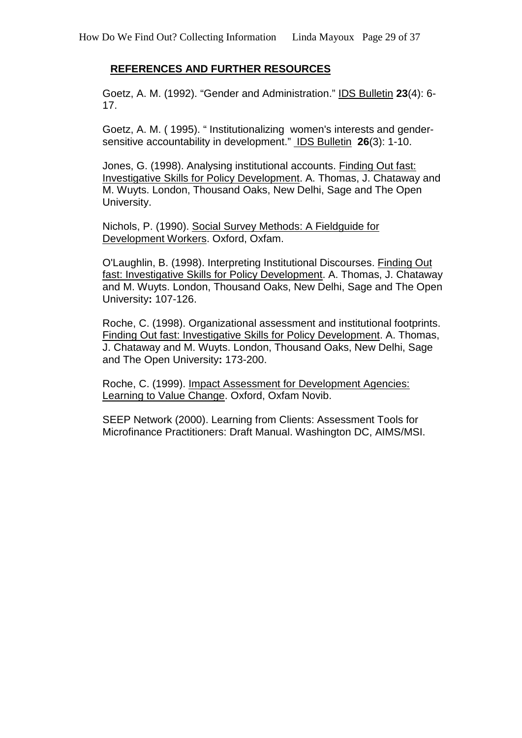# **REFERENCES AND FURTHER RESOURCES**

Goetz, A. M. (1992). "Gender and Administration." IDS Bulletin **23**(4): 6- 17.

Goetz, A. M. ( 1995). " Institutionalizing women's interests and gendersensitive accountability in development." IDS Bulletin **26**(3): 1-10.

Jones, G. (1998). Analysing institutional accounts. Finding Out fast: Investigative Skills for Policy Development. A. Thomas, J. Chataway and M. Wuyts. London, Thousand Oaks, New Delhi, Sage and The Open University.

Nichols, P. (1990). Social Survey Methods: A Fieldguide for Development Workers. Oxford, Oxfam.

O'Laughlin, B. (1998). Interpreting Institutional Discourses. Finding Out fast: Investigative Skills for Policy Development. A. Thomas, J. Chataway and M. Wuyts. London, Thousand Oaks, New Delhi, Sage and The Open University**:** 107-126.

Roche, C. (1998). Organizational assessment and institutional footprints. Finding Out fast: Investigative Skills for Policy Development. A. Thomas, J. Chataway and M. Wuyts. London, Thousand Oaks, New Delhi, Sage and The Open University**:** 173-200.

Roche, C. (1999). Impact Assessment for Development Agencies: Learning to Value Change. Oxford, Oxfam Novib.

SEEP Network (2000). Learning from Clients: Assessment Tools for Microfinance Practitioners: Draft Manual. Washington DC, AIMS/MSI.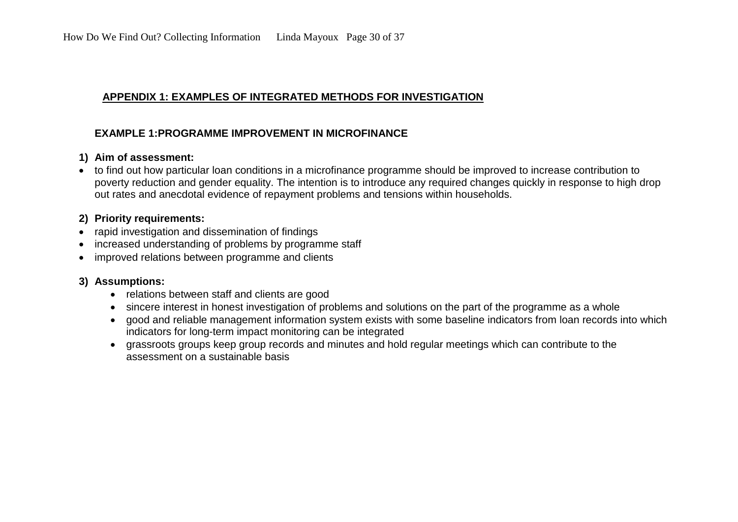## **APPENDIX 1: EXAMPLES OF INTEGRATED METHODS FOR INVESTIGATION**

## **EXAMPLE 1:PROGRAMME IMPROVEMENT IN MICROFINANCE**

## **1) Aim of assessment:**

• to find out how particular loan conditions in a microfinance programme should be improved to increase contribution to poverty reduction and gender equality. The intention is to introduce any required changes quickly in response to high drop out rates and anecdotal evidence of repayment problems and tensions within households.

## **2) Priority requirements:**

- rapid investigation and dissemination of findings
- increased understanding of problems by programme staff
- improved relations between programme and clients

# **3) Assumptions:**

- relations between staff and clients are good
- sincere interest in honest investigation of problems and solutions on the part of the programme as a whole
- good and reliable management information system exists with some baseline indicators from loan records into which indicators for long-term impact monitoring can be integrated
- grassroots groups keep group records and minutes and hold regular meetings which can contribute to the assessment on a sustainable basis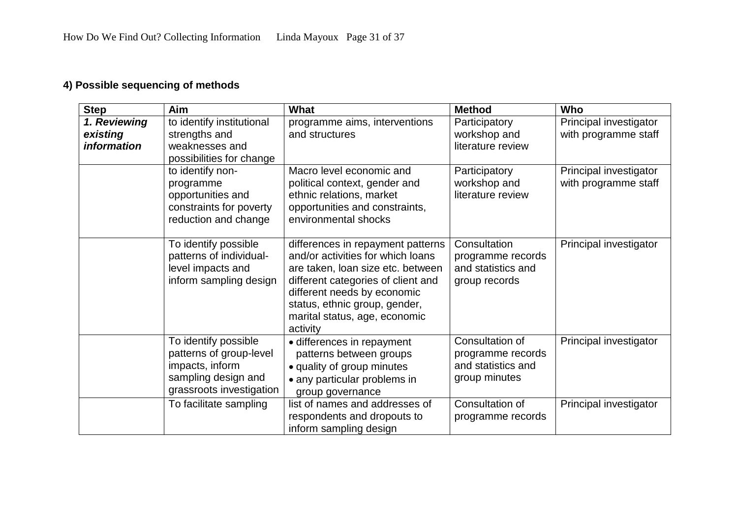# **4) Possible sequencing of methods**

| <b>Step</b>                                    | Aim                                                                                                                   | What                                                                                                                                                                                                                                                           | <b>Method</b>                                                               | Who                                            |
|------------------------------------------------|-----------------------------------------------------------------------------------------------------------------------|----------------------------------------------------------------------------------------------------------------------------------------------------------------------------------------------------------------------------------------------------------------|-----------------------------------------------------------------------------|------------------------------------------------|
| 1. Reviewing<br>existing<br><i>information</i> | to identify institutional<br>strengths and<br>weaknesses and<br>possibilities for change                              | programme aims, interventions<br>and structures                                                                                                                                                                                                                | Participatory<br>workshop and<br>literature review                          | Principal investigator<br>with programme staff |
|                                                | to identify non-<br>programme<br>opportunities and<br>constraints for poverty<br>reduction and change                 | Macro level economic and<br>political context, gender and<br>ethnic relations, market<br>opportunities and constraints,<br>environmental shocks                                                                                                                | Participatory<br>workshop and<br>literature review                          | Principal investigator<br>with programme staff |
|                                                | To identify possible<br>patterns of individual-<br>level impacts and<br>inform sampling design                        | differences in repayment patterns<br>and/or activities for which loans<br>are taken, loan size etc. between<br>different categories of client and<br>different needs by economic<br>status, ethnic group, gender,<br>marital status, age, economic<br>activity | Consultation<br>programme records<br>and statistics and<br>group records    | Principal investigator                         |
|                                                | To identify possible<br>patterns of group-level<br>impacts, inform<br>sampling design and<br>grassroots investigation | · differences in repayment<br>patterns between groups<br>• quality of group minutes<br>• any particular problems in<br>group governance                                                                                                                        | Consultation of<br>programme records<br>and statistics and<br>group minutes | Principal investigator                         |
|                                                | To facilitate sampling                                                                                                | list of names and addresses of<br>respondents and dropouts to<br>inform sampling design                                                                                                                                                                        | Consultation of<br>programme records                                        | Principal investigator                         |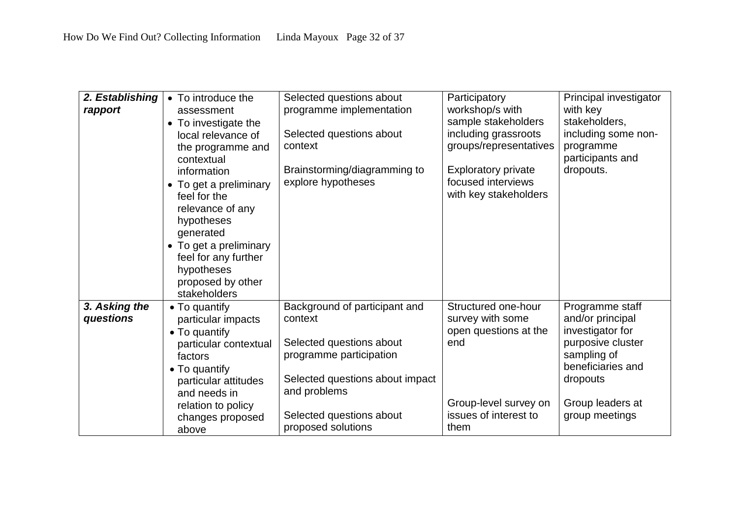| 2. Establishing<br>rapport | • To introduce the<br>assessment<br>• To investigate the<br>local relevance of<br>the programme and<br>contextual<br>information<br>• To get a preliminary<br>feel for the<br>relevance of any<br>hypotheses<br>generated<br>• To get a preliminary<br>feel for any further<br>hypotheses<br>proposed by other | Selected questions about<br>programme implementation<br>Selected questions about<br>context<br>Brainstorming/diagramming to<br>explore hypotheses                                                    | Participatory<br>workshop/s with<br>sample stakeholders<br>including grassroots<br>groups/representatives<br><b>Exploratory private</b><br>focused interviews<br>with key stakeholders | Principal investigator<br>with key<br>stakeholders,<br>including some non-<br>programme<br>participants and<br>dropouts.                                           |
|----------------------------|----------------------------------------------------------------------------------------------------------------------------------------------------------------------------------------------------------------------------------------------------------------------------------------------------------------|------------------------------------------------------------------------------------------------------------------------------------------------------------------------------------------------------|----------------------------------------------------------------------------------------------------------------------------------------------------------------------------------------|--------------------------------------------------------------------------------------------------------------------------------------------------------------------|
| 3. Asking the<br>questions | stakeholders<br>• To quantify<br>particular impacts<br>• To quantify<br>particular contextual<br>factors<br>• To quantify<br>particular attitudes<br>and needs in<br>relation to policy<br>changes proposed<br>above                                                                                           | Background of participant and<br>context<br>Selected questions about<br>programme participation<br>Selected questions about impact<br>and problems<br>Selected questions about<br>proposed solutions | Structured one-hour<br>survey with some<br>open questions at the<br>end<br>Group-level survey on<br>issues of interest to<br>them                                                      | Programme staff<br>and/or principal<br>investigator for<br>purposive cluster<br>sampling of<br>beneficiaries and<br>dropouts<br>Group leaders at<br>group meetings |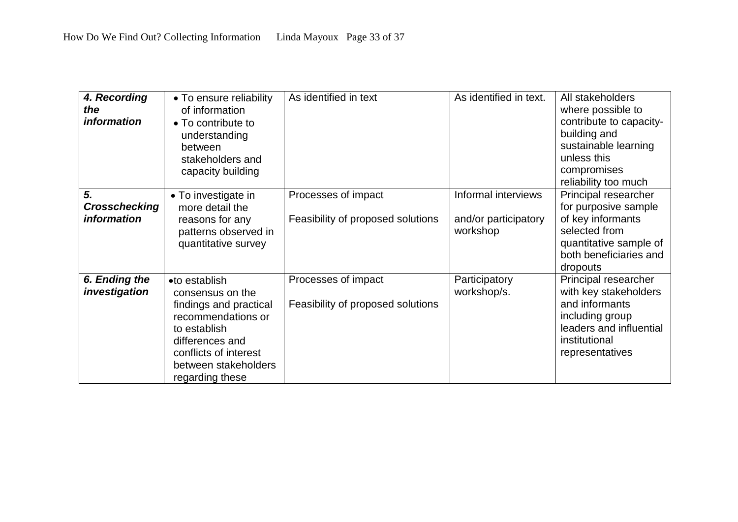| 4. Recording<br>the<br><i>information</i>        | • To ensure reliability<br>of information<br>• To contribute to<br>understanding<br>between<br>stakeholders and<br>capacity building                                                     | As identified in text                                    | As identified in text.                                  | All stakeholders<br>where possible to<br>contribute to capacity-<br>building and<br>sustainable learning<br>unless this<br>compromises<br>reliability too much |
|--------------------------------------------------|------------------------------------------------------------------------------------------------------------------------------------------------------------------------------------------|----------------------------------------------------------|---------------------------------------------------------|----------------------------------------------------------------------------------------------------------------------------------------------------------------|
| 5.<br><b>Crosschecking</b><br><i>information</i> | • To investigate in<br>more detail the<br>reasons for any<br>patterns observed in<br>quantitative survey                                                                                 | Processes of impact<br>Feasibility of proposed solutions | Informal interviews<br>and/or participatory<br>workshop | Principal researcher<br>for purposive sample<br>of key informants<br>selected from<br>quantitative sample of<br>both beneficiaries and<br>dropouts             |
| 6. Ending the<br>investigation                   | •to establish<br>consensus on the<br>findings and practical<br>recommendations or<br>to establish<br>differences and<br>conflicts of interest<br>between stakeholders<br>regarding these | Processes of impact<br>Feasibility of proposed solutions | Participatory<br>workshop/s.                            | Principal researcher<br>with key stakeholders<br>and informants<br>including group<br>leaders and influential<br>institutional<br>representatives              |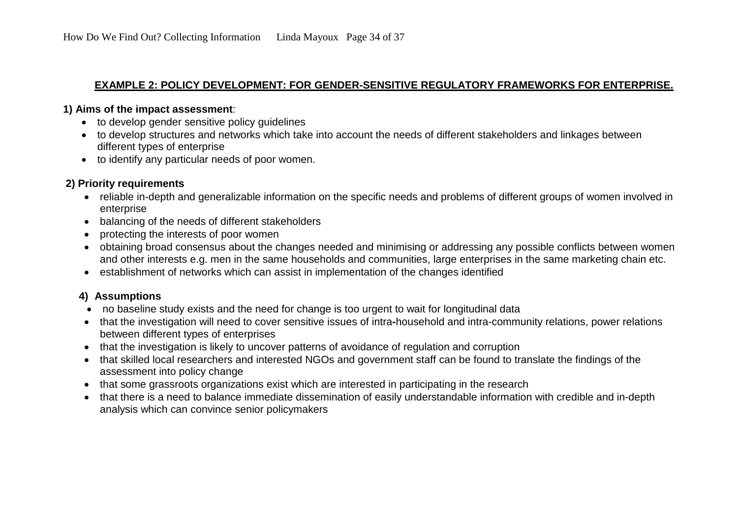#### **EXAMPLE 2: POLICY DEVELOPMENT: FOR GENDER-SENSITIVE REGULATORY FRAMEWORKS FOR ENTERPRISE.**

#### **1) Aims of the impact assessment**:

- to develop gender sensitive policy guidelines
- to develop structures and networks which take into account the needs of different stakeholders and linkages between different types of enterprise
- to identify any particular needs of poor women.

# **2) Priority requirements**

- reliable in-depth and generalizable information on the specific needs and problems of different groups of women involved in enterprise
- balancing of the needs of different stakeholders
- protecting the interests of poor women
- obtaining broad consensus about the changes needed and minimising or addressing any possible conflicts between women and other interests e.g. men in the same households and communities, large enterprises in the same marketing chain etc.
- establishment of networks which can assist in implementation of the changes identified

# **4) Assumptions**

- no baseline study exists and the need for change is too urgent to wait for longitudinal data
- that the investigation will need to cover sensitive issues of intra**-**household and intra-community relations, power relations between different types of enterprises
- that the investigation is likely to uncover patterns of avoidance of regulation and corruption
- that skilled local researchers and interested NGOs and government staff can be found to translate the findings of the assessment into policy change
- that some grassroots organizations exist which are interested in participating in the research
- that there is a need to balance immediate dissemination of easily understandable information with credible and in-depth analysis which can convince senior policymakers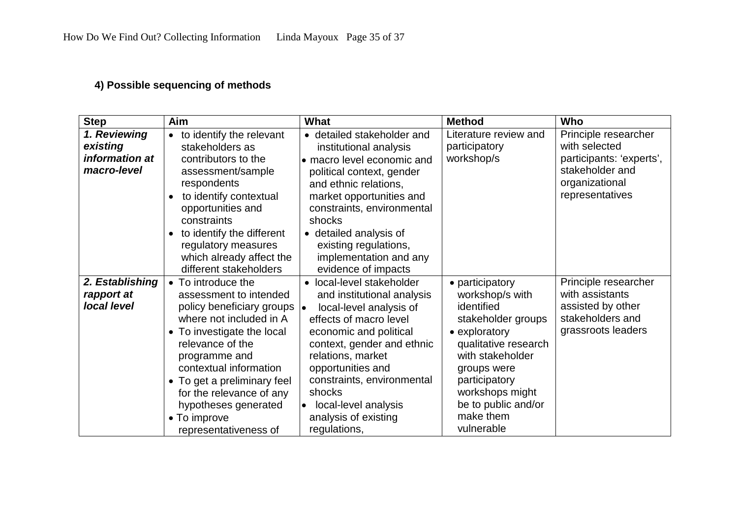# **4) Possible sequencing of methods**

| <b>Step</b>                                               | Aim                                                                                                                                                                                                                                                                                                                                    | What                                                                                                                                                                                                                                                                                                                                      | <b>Method</b>                                                                                                                                                                                                                            | Who                                                                                                                       |
|-----------------------------------------------------------|----------------------------------------------------------------------------------------------------------------------------------------------------------------------------------------------------------------------------------------------------------------------------------------------------------------------------------------|-------------------------------------------------------------------------------------------------------------------------------------------------------------------------------------------------------------------------------------------------------------------------------------------------------------------------------------------|------------------------------------------------------------------------------------------------------------------------------------------------------------------------------------------------------------------------------------------|---------------------------------------------------------------------------------------------------------------------------|
| 1. Reviewing<br>existing<br>information at<br>macro-level | to identify the relevant<br>$\bullet$<br>stakeholders as<br>contributors to the<br>assessment/sample<br>respondents<br>to identify contextual<br>$\bullet$<br>opportunities and<br>constraints<br>to identify the different<br>$\bullet$<br>regulatory measures<br>which already affect the<br>different stakeholders                  | detailed stakeholder and<br>institutional analysis<br>• macro level economic and<br>political context, gender<br>and ethnic relations,<br>market opportunities and<br>constraints, environmental<br>shocks<br>• detailed analysis of<br>existing regulations,<br>implementation and any<br>evidence of impacts                            | Literature review and<br>participatory<br>workshop/s                                                                                                                                                                                     | Principle researcher<br>with selected<br>participants: 'experts',<br>stakeholder and<br>organizational<br>representatives |
| 2. Establishing<br>rapport at<br>local level              | To introduce the<br>assessment to intended<br>policy beneficiary groups<br>where not included in A<br>To investigate the local<br>$\bullet$<br>relevance of the<br>programme and<br>contextual information<br>• To get a preliminary feel<br>for the relevance of any<br>hypotheses generated<br>• To improve<br>representativeness of | • local-level stakeholder<br>and institutional analysis<br>local-level analysis of<br>∣∙<br>effects of macro level<br>economic and political<br>context, gender and ethnic<br>relations, market<br>opportunities and<br>constraints, environmental<br>shocks<br>local-level analysis<br>$\bullet$<br>analysis of existing<br>regulations, | • participatory<br>workshop/s with<br>identified<br>stakeholder groups<br>• exploratory<br>qualitative research<br>with stakeholder<br>groups were<br>participatory<br>workshops might<br>be to public and/or<br>make them<br>vulnerable | Principle researcher<br>with assistants<br>assisted by other<br>stakeholders and<br>grassroots leaders                    |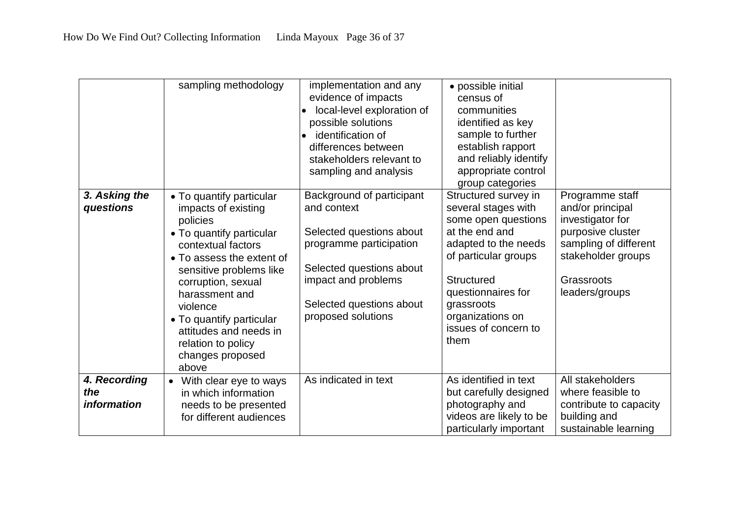|                            | sampling methodology                           | implementation and any                   | · possible initial                          |                                     |
|----------------------------|------------------------------------------------|------------------------------------------|---------------------------------------------|-------------------------------------|
|                            |                                                | evidence of impacts                      | census of                                   |                                     |
|                            |                                                | local-level exploration of<br>$\bullet$  | communities                                 |                                     |
|                            |                                                | possible solutions                       | identified as key                           |                                     |
|                            |                                                | identification of                        | sample to further                           |                                     |
|                            |                                                | differences between                      | establish rapport                           |                                     |
|                            |                                                | stakeholders relevant to                 | and reliably identify                       |                                     |
|                            |                                                | sampling and analysis                    | appropriate control                         |                                     |
|                            |                                                |                                          | group categories                            |                                     |
| 3. Asking the<br>questions | • To quantify particular                       | Background of participant<br>and context | Structured survey in<br>several stages with | Programme staff<br>and/or principal |
|                            | impacts of existing<br>policies                |                                          | some open questions                         | investigator for                    |
|                            |                                                | Selected questions about                 | at the end and                              | purposive cluster                   |
|                            | • To quantify particular<br>contextual factors | programme participation                  | adapted to the needs                        | sampling of different               |
|                            | • To assess the extent of                      |                                          | of particular groups                        | stakeholder groups                  |
|                            | sensitive problems like                        | Selected questions about                 |                                             |                                     |
|                            | corruption, sexual                             | impact and problems                      | <b>Structured</b>                           | Grassroots                          |
|                            | harassment and                                 |                                          | questionnaires for                          | leaders/groups                      |
|                            | violence                                       | Selected questions about                 | grassroots                                  |                                     |
|                            | • To quantify particular                       | proposed solutions                       | organizations on                            |                                     |
|                            | attitudes and needs in                         |                                          | issues of concern to                        |                                     |
|                            | relation to policy                             |                                          | them                                        |                                     |
|                            | changes proposed                               |                                          |                                             |                                     |
|                            | above                                          |                                          |                                             |                                     |
| 4. Recording               | With clear eye to ways                         | As indicated in text                     | As identified in text                       | All stakeholders                    |
| the                        | in which information                           |                                          | but carefully designed                      | where feasible to                   |
| <i>information</i>         | needs to be presented                          |                                          | photography and                             | contribute to capacity              |
|                            | for different audiences                        |                                          | videos are likely to be                     | building and                        |
|                            |                                                |                                          | particularly important                      | sustainable learning                |